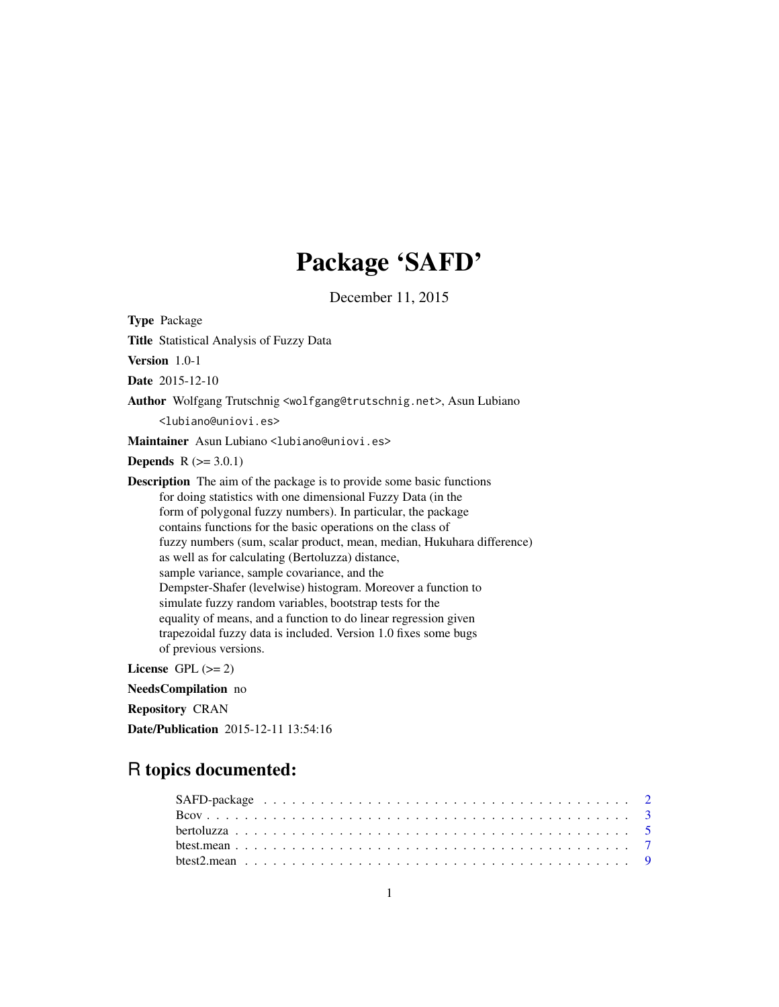## Package 'SAFD'

December 11, 2015

Type Package Title Statistical Analysis of Fuzzy Data Version 1.0-1 Date 2015-12-10 Author Wolfgang Trutschnig <wolfgang@trutschnig.net>, Asun Lubiano <lubiano@uniovi.es> Maintainer Asun Lubiano <lubiano@uniovi.es> **Depends**  $R$  ( $>= 3.0.1$ ) Description The aim of the package is to provide some basic functions for doing statistics with one dimensional Fuzzy Data (in the form of polygonal fuzzy numbers). In particular, the package contains functions for the basic operations on the class of fuzzy numbers (sum, scalar product, mean, median, Hukuhara difference) as well as for calculating (Bertoluzza) distance, sample variance, sample covariance, and the Dempster-Shafer (levelwise) histogram. Moreover a function to simulate fuzzy random variables, bootstrap tests for the equality of means, and a function to do linear regression given trapezoidal fuzzy data is included. Version 1.0 fixes some bugs of previous versions. License GPL  $(>= 2)$ NeedsCompilation no

Repository CRAN

Date/Publication 2015-12-11 13:54:16

## R topics documented: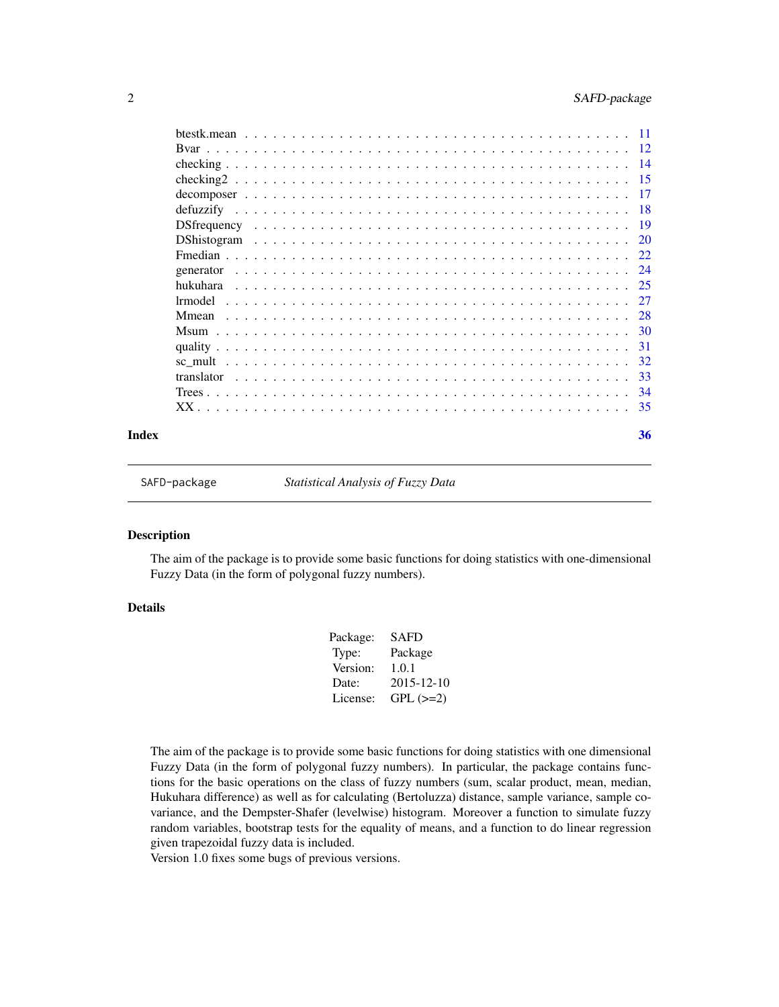<span id="page-1-0"></span>

|                    | -11 |
|--------------------|-----|
|                    | 12  |
|                    | -14 |
|                    | -15 |
|                    | -17 |
|                    | -18 |
|                    | -19 |
| <b>DShistogram</b> | 20  |
|                    | 22  |
| generator          | 24  |
| hukuhara           | 25  |
| 1rmodel            | 27  |
| Mmean              | 28  |
|                    | -30 |
|                    | -31 |
| sc mult            | 32  |
| translator         | -33 |
|                    | 34  |
|                    | 35  |
|                    |     |

#### **Index** [36](#page-35-0)

SAFD-package *Statistical Analysis of Fuzzy Data*

#### Description

The aim of the package is to provide some basic functions for doing statistics with one-dimensional Fuzzy Data (in the form of polygonal fuzzy numbers).

## Details

| Package: | <b>SAFD</b>      |
|----------|------------------|
| Type:    | Package          |
| Version: | 1.0.1            |
| Date:    | $2015 - 12 - 10$ |
| License: | $GPL (=2)$       |
|          |                  |

The aim of the package is to provide some basic functions for doing statistics with one dimensional Fuzzy Data (in the form of polygonal fuzzy numbers). In particular, the package contains functions for the basic operations on the class of fuzzy numbers (sum, scalar product, mean, median, Hukuhara difference) as well as for calculating (Bertoluzza) distance, sample variance, sample covariance, and the Dempster-Shafer (levelwise) histogram. Moreover a function to simulate fuzzy random variables, bootstrap tests for the equality of means, and a function to do linear regression given trapezoidal fuzzy data is included.

Version 1.0 fixes some bugs of previous versions.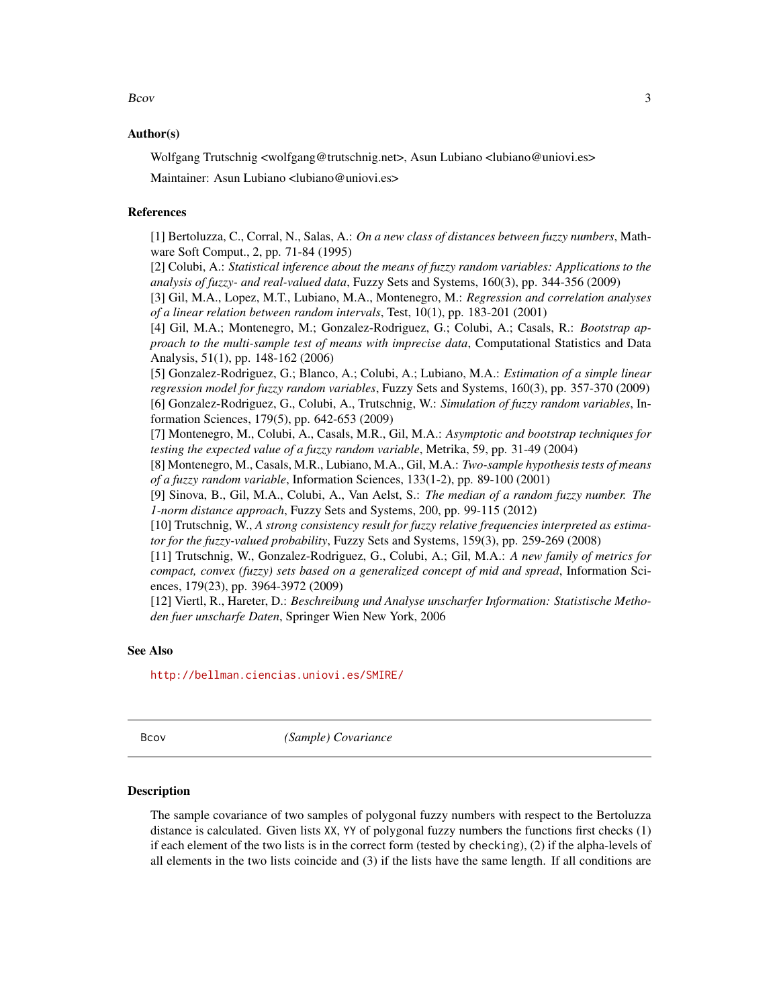#### <span id="page-2-0"></span> $Bcov$  3

#### Author(s)

Wolfgang Trutschnig <wolfgang@trutschnig.net>, Asun Lubiano <lubiano@uniovi.es> Maintainer: Asun Lubiano <lubiano@uniovi.es>

## References

[1] Bertoluzza, C., Corral, N., Salas, A.: *On a new class of distances between fuzzy numbers*, Mathware Soft Comput., 2, pp. 71-84 (1995)

[2] Colubi, A.: *Statistical inference about the means of fuzzy random variables: Applications to the analysis of fuzzy- and real-valued data*, Fuzzy Sets and Systems, 160(3), pp. 344-356 (2009)

[3] Gil, M.A., Lopez, M.T., Lubiano, M.A., Montenegro, M.: *Regression and correlation analyses of a linear relation between random intervals*, Test, 10(1), pp. 183-201 (2001)

[4] Gil, M.A.; Montenegro, M.; Gonzalez-Rodriguez, G.; Colubi, A.; Casals, R.: *Bootstrap approach to the multi-sample test of means with imprecise data*, Computational Statistics and Data Analysis, 51(1), pp. 148-162 (2006)

[5] Gonzalez-Rodriguez, G.; Blanco, A.; Colubi, A.; Lubiano, M.A.: *Estimation of a simple linear regression model for fuzzy random variables*, Fuzzy Sets and Systems, 160(3), pp. 357-370 (2009) [6] Gonzalez-Rodriguez, G., Colubi, A., Trutschnig, W.: *Simulation of fuzzy random variables*, Information Sciences, 179(5), pp. 642-653 (2009)

[7] Montenegro, M., Colubi, A., Casals, M.R., Gil, M.A.: *Asymptotic and bootstrap techniques for testing the expected value of a fuzzy random variable*, Metrika, 59, pp. 31-49 (2004)

[8] Montenegro, M., Casals, M.R., Lubiano, M.A., Gil, M.A.: *Two-sample hypothesis tests of means of a fuzzy random variable*, Information Sciences, 133(1-2), pp. 89-100 (2001)

[9] Sinova, B., Gil, M.A., Colubi, A., Van Aelst, S.: *The median of a random fuzzy number. The 1-norm distance approach*, Fuzzy Sets and Systems, 200, pp. 99-115 (2012)

[10] Trutschnig, W., *A strong consistency result for fuzzy relative frequencies interpreted as estimator for the fuzzy-valued probability*, Fuzzy Sets and Systems, 159(3), pp. 259-269 (2008)

[11] Trutschnig, W., Gonzalez-Rodriguez, G., Colubi, A.; Gil, M.A.: *A new family of metrics for compact, convex (fuzzy) sets based on a generalized concept of mid and spread*, Information Sciences, 179(23), pp. 3964-3972 (2009)

[12] Viertl, R., Hareter, D.: *Beschreibung und Analyse unscharfer Information: Statistische Methoden fuer unscharfe Daten*, Springer Wien New York, 2006

#### See Also

<http://bellman.ciencias.uniovi.es/SMIRE/>

<span id="page-2-1"></span>

Bcov *(Sample) Covariance*

#### Description

The sample covariance of two samples of polygonal fuzzy numbers with respect to the Bertoluzza distance is calculated. Given lists XX, YY of polygonal fuzzy numbers the functions first checks (1) if each element of the two lists is in the correct form (tested by checking), (2) if the alpha-levels of all elements in the two lists coincide and (3) if the lists have the same length. If all conditions are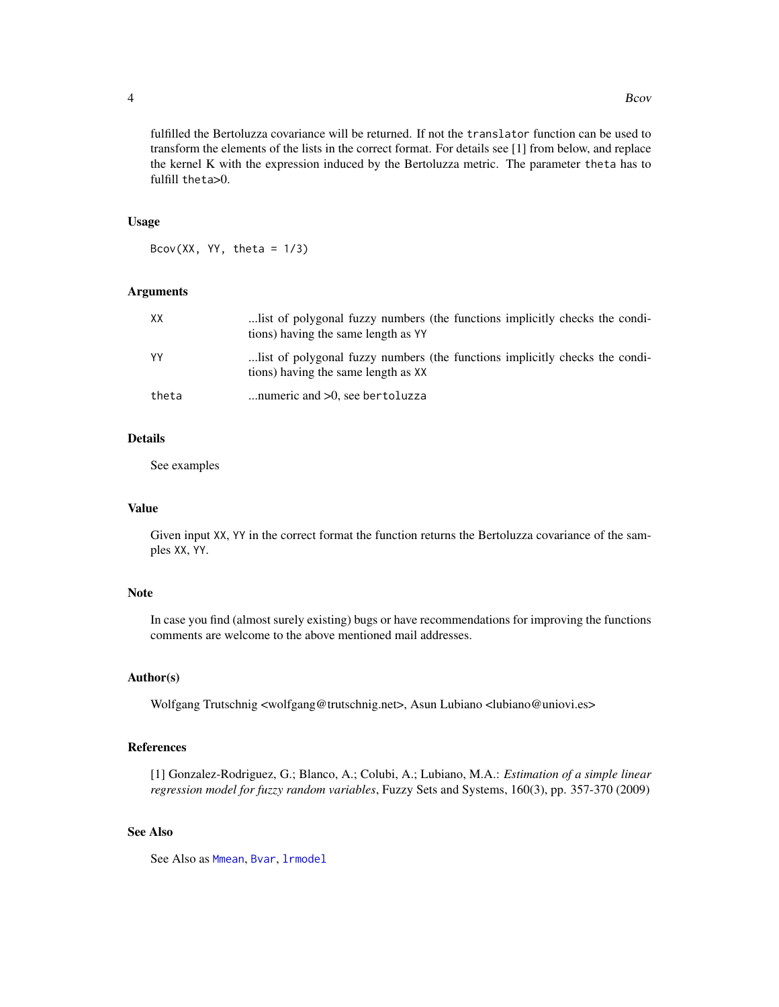fulfilled the Bertoluzza covariance will be returned. If not the translator function can be used to transform the elements of the lists in the correct format. For details see [1] from below, and replace the kernel K with the expression induced by the Bertoluzza metric. The parameter theta has to fulfill theta>0.

#### Usage

Bcov(XX, YY, theta =  $1/3$ )

## Arguments

| xх    | list of polygonal fuzzy numbers (the functions implicitly checks the condi-<br>tions) having the same length as YY |
|-------|--------------------------------------------------------------------------------------------------------------------|
| YY    | list of polygonal fuzzy numbers (the functions implicitly checks the condi-<br>tions) having the same length as XX |
| theta | numeric and $>0$ , see bertoluzza                                                                                  |

## Details

See examples

## Value

Given input XX, YY in the correct format the function returns the Bertoluzza covariance of the samples XX, YY.

#### Note

In case you find (almost surely existing) bugs or have recommendations for improving the functions comments are welcome to the above mentioned mail addresses.

## Author(s)

Wolfgang Trutschnig <wolfgang@trutschnig.net>, Asun Lubiano <lubiano@uniovi.es>

## References

[1] Gonzalez-Rodriguez, G.; Blanco, A.; Colubi, A.; Lubiano, M.A.: *Estimation of a simple linear regression model for fuzzy random variables*, Fuzzy Sets and Systems, 160(3), pp. 357-370 (2009)

## See Also

See Also as [Mmean](#page-27-1), [Bvar](#page-11-1), [lrmodel](#page-26-1)

<span id="page-3-0"></span>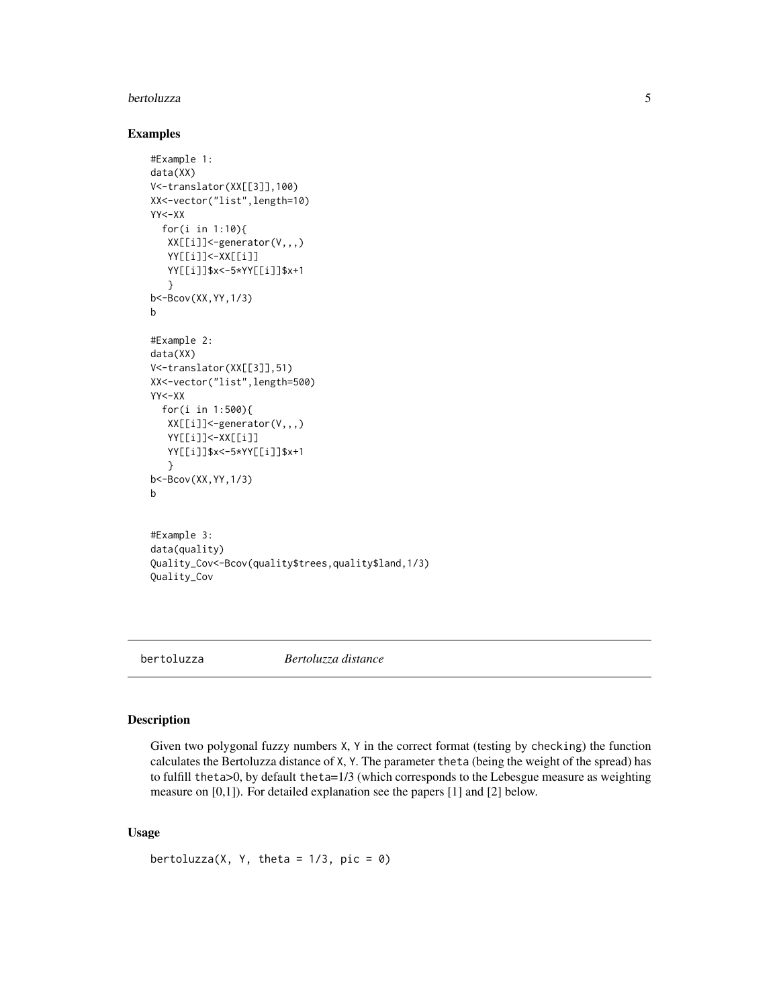#### <span id="page-4-0"></span>bertoluzza 5

#### Examples

```
#Example 1:
data(XX)
V<-translator(XX[[3]],100)
XX<-vector("list",length=10)
YY<-XX
  for(i in 1:10){
  XX[[i]]<-generator(V,,,)
  YY[[i]]<-XX[[i]]
  YY[[i]]$x<-5*YY[[i]]$x+1
   }
b<-Bcov(XX,YY,1/3)
b
#Example 2:
data(XX)
V<-translator(XX[[3]],51)
XX<-vector("list",length=500)
YY<-XX
  for(i in 1:500){
  XX[[i]]<-generator(V,,,)
   YY[[i]]<-XX[[i]]
  YY[[i]]$x<-5*YY[[i]]$x+1
   }
b<-Bcov(XX,YY,1/3)
b
#Example 3:
data(quality)
Quality_Cov<-Bcov(quality$trees,quality$land,1/3)
Quality_Cov
```
<span id="page-4-1"></span>bertoluzza *Bertoluzza distance*

## Description

Given two polygonal fuzzy numbers X, Y in the correct format (testing by checking) the function calculates the Bertoluzza distance of X, Y. The parameter theta (being the weight of the spread) has to fulfill theta $>0$ , by default theta= $1/3$  (which corresponds to the Lebesgue measure as weighting measure on [0,1]). For detailed explanation see the papers [1] and [2] below.

## Usage

```
bertoluzza(X, Y, \text{theta} = 1/3, \text{pic} = 0)
```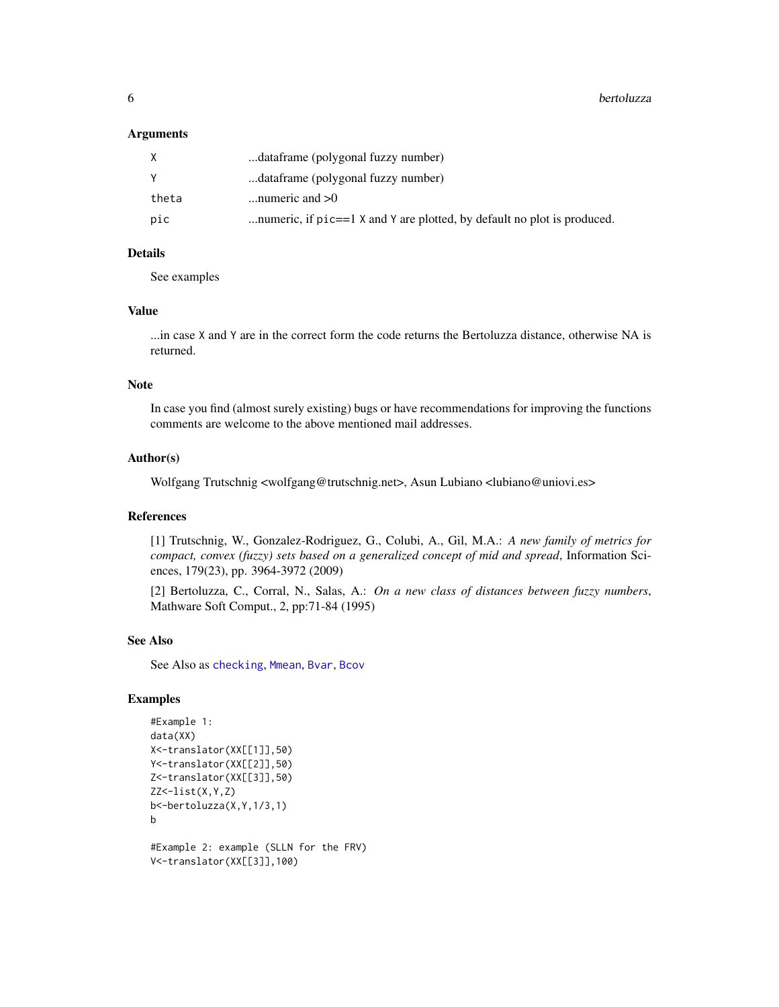#### <span id="page-5-0"></span>**Arguments**

|       | dataframe (polygonal fuzzy number)                                      |
|-------|-------------------------------------------------------------------------|
|       | dataframe (polygonal fuzzy number)                                      |
| theta | numeric and $>0$                                                        |
| pic   | numeric, if pic==1 X and Y are plotted, by default no plot is produced. |

## Details

See examples

#### Value

...in case X and Y are in the correct form the code returns the Bertoluzza distance, otherwise NA is returned.

## Note

In case you find (almost surely existing) bugs or have recommendations for improving the functions comments are welcome to the above mentioned mail addresses.

#### Author(s)

Wolfgang Trutschnig <wolfgang@trutschnig.net>, Asun Lubiano <lubiano@uniovi.es>

## References

[1] Trutschnig, W., Gonzalez-Rodriguez, G., Colubi, A., Gil, M.A.: *A new family of metrics for compact, convex (fuzzy) sets based on a generalized concept of mid and spread*, Information Sciences, 179(23), pp. 3964-3972 (2009)

[2] Bertoluzza, C., Corral, N., Salas, A.: *On a new class of distances between fuzzy numbers*, Mathware Soft Comput., 2, pp:71-84 (1995)

#### See Also

See Also as [checking](#page-13-1), [Mmean](#page-27-1), [Bvar](#page-11-1), [Bcov](#page-2-1)

## Examples

```
#Example 1:
data(XX)
X<-translator(XX[[1]],50)
Y<-translator(XX[[2]],50)
Z<-translator(XX[[3]],50)
ZZ < - list(X, Y, Z)b<-bertoluzza(X,Y,1/3,1)
b
#Example 2: example (SLLN for the FRV)
V<-translator(XX[[3]],100)
```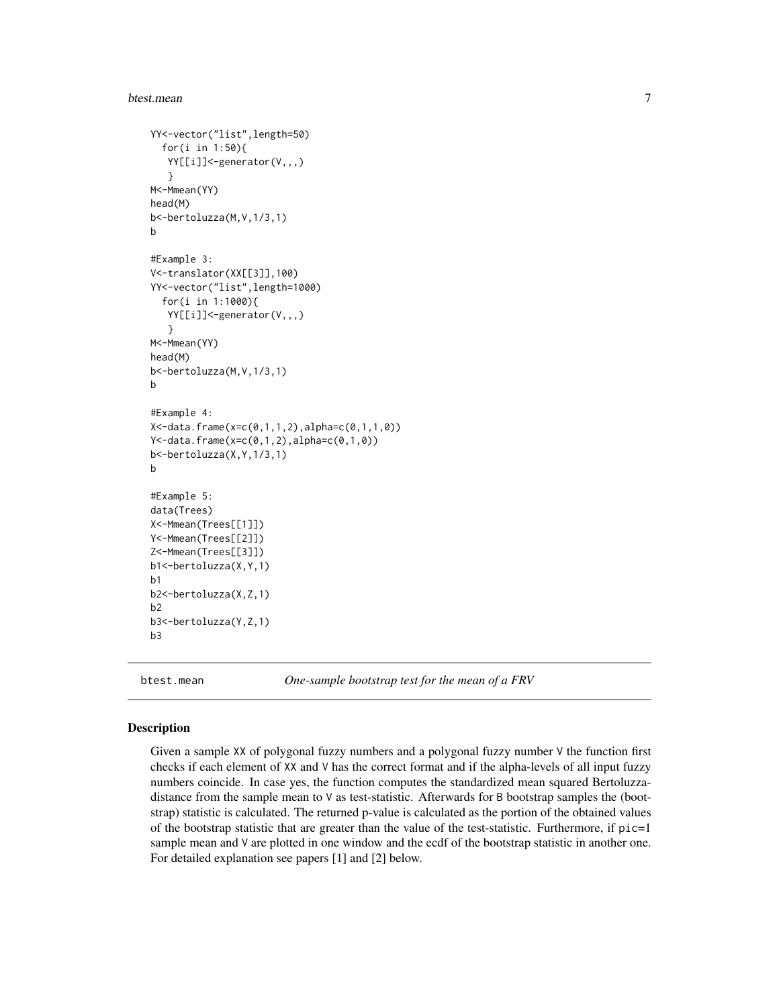#### <span id="page-6-0"></span>btest.mean 7

```
YY<-vector("list",length=50)
  for(i in 1:50){
   YY[[i]]<-generator(V,,,)
   }
M<-Mmean(YY)
head(M)
b<-bertoluzza(M,V,1/3,1)
b
#Example 3:
V<-translator(XX[[3]],100)
YY<-vector("list",length=1000)
  for(i in 1:1000){
   YY[[i]]<-generator(V,,,)
   }
M<-Mmean(YY)
head(M)
b<-bertoluzza(M,V,1/3,1)
b
#Example 4:
X<-data.frame(x=c(0,1,1,2),alpha=c(0,1,1,0))
Y<-data.frame(x=c(0,1,2),alpha=c(0,1,0))
b<-bertoluzza(X,Y,1/3,1)
b
#Example 5:
data(Trees)
X<-Mmean(Trees[[1]])
Y<-Mmean(Trees[[2]])
Z<-Mmean(Trees[[3]])
b1<-bertoluzza(X,Y,1)
b1
b2<-bertoluzza(X,Z,1)
b2
b3<-bertoluzza(Y,Z,1)
b3
```
btest.mean *One-sample bootstrap test for the mean of a FRV*

#### Description

Given a sample XX of polygonal fuzzy numbers and a polygonal fuzzy number V the function first checks if each element of XX and V has the correct format and if the alpha-levels of all input fuzzy numbers coincide. In case yes, the function computes the standardized mean squared Bertoluzzadistance from the sample mean to V as test-statistic. Afterwards for B bootstrap samples the (bootstrap) statistic is calculated. The returned p-value is calculated as the portion of the obtained values of the bootstrap statistic that are greater than the value of the test-statistic. Furthermore, if  $pic=1$ sample mean and V are plotted in one window and the ecdf of the bootstrap statistic in another one. For detailed explanation see papers [1] and [2] below.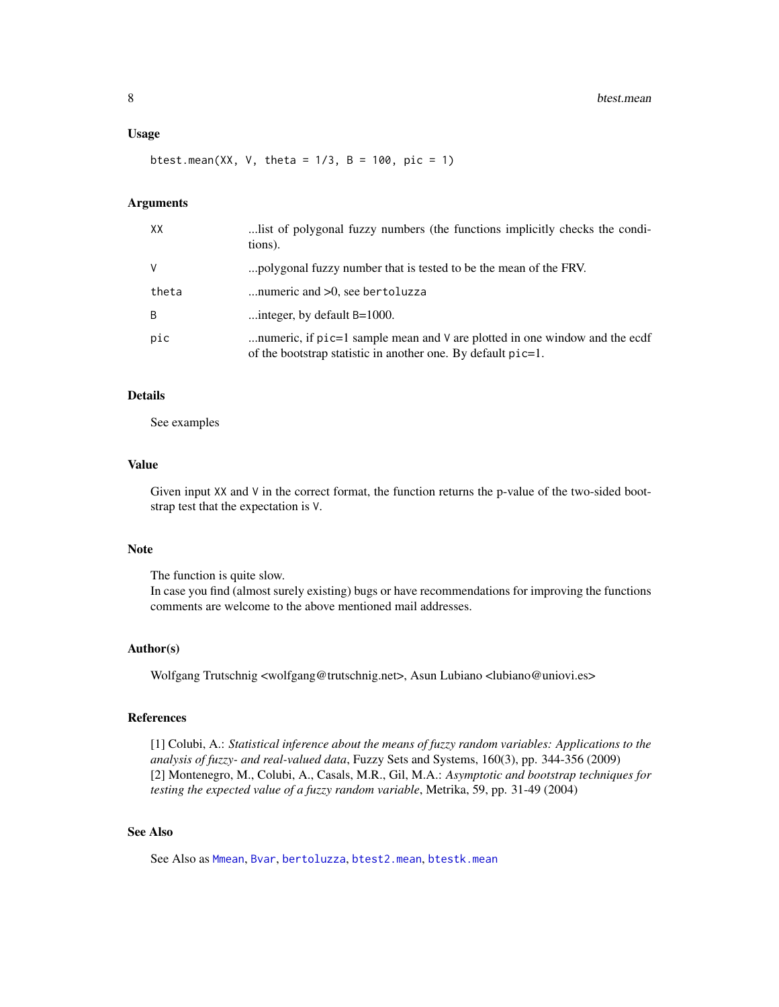#### <span id="page-7-0"></span>Usage

btest.mean(XX, V, theta =  $1/3$ , B =  $100$ , pic = 1)

## Arguments

| XX    | list of polygonal fuzzy numbers (the functions implicitly checks the condi-<br>tions).                                                               |
|-------|------------------------------------------------------------------------------------------------------------------------------------------------------|
| V     | polygonal fuzzy number that is tested to be the mean of the FRV.                                                                                     |
| theta | numeric and $>0$ , see bertoluzza                                                                                                                    |
| B     | integer, by default $B=1000$ .                                                                                                                       |
| pic   | numeric, if $pic=1$ sample mean and $\vee$ are plotted in one window and the ecdf<br>of the bootstrap statistic in another one. By default $pic=1$ . |

#### Details

See examples

## Value

Given input XX and V in the correct format, the function returns the p-value of the two-sided bootstrap test that the expectation is V.

## Note

The function is quite slow.

In case you find (almost surely existing) bugs or have recommendations for improving the functions comments are welcome to the above mentioned mail addresses.

#### Author(s)

Wolfgang Trutschnig <wolfgang@trutschnig.net>, Asun Lubiano <lubiano@uniovi.es>

#### References

[1] Colubi, A.: *Statistical inference about the means of fuzzy random variables: Applications to the analysis of fuzzy- and real-valued data*, Fuzzy Sets and Systems, 160(3), pp. 344-356 (2009) [2] Montenegro, M., Colubi, A., Casals, M.R., Gil, M.A.: *Asymptotic and bootstrap techniques for testing the expected value of a fuzzy random variable*, Metrika, 59, pp. 31-49 (2004)

## See Also

See Also as [Mmean](#page-27-1), [Bvar](#page-11-1), [bertoluzza](#page-4-1), [btest2.mean](#page-8-1), [btestk.mean](#page-10-1)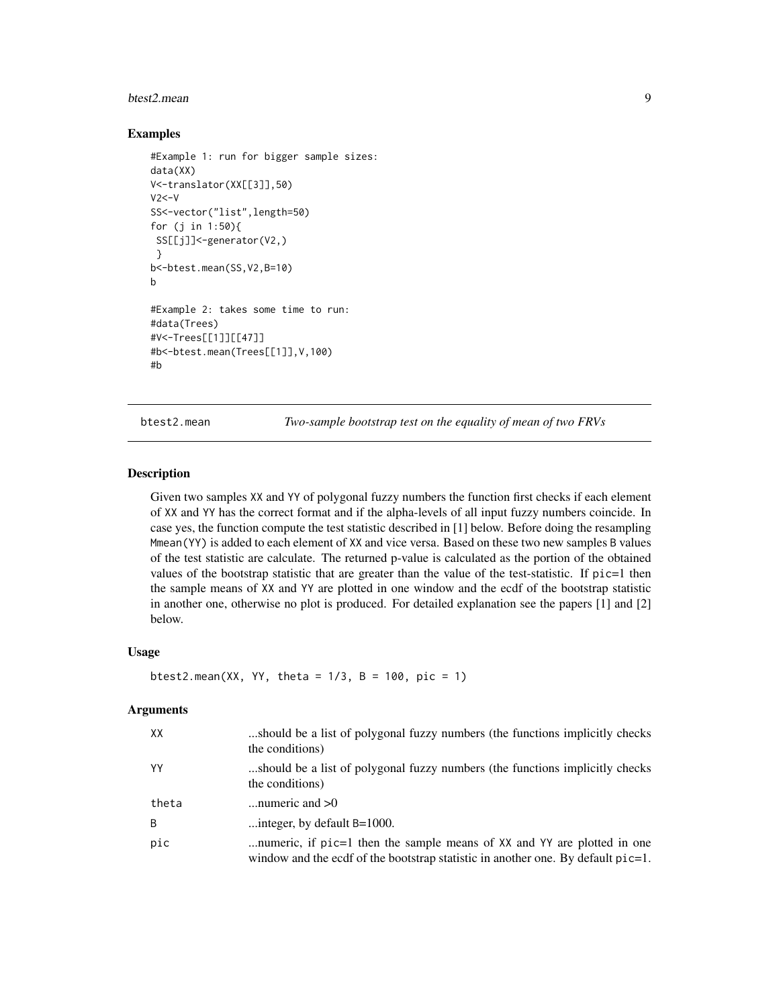#### <span id="page-8-0"></span>btest2.mean 9

#### Examples

```
#Example 1: run for bigger sample sizes:
data(XX)
V<-translator(XX[[3]],50)
V2<-VSS<-vector("list",length=50)
for (j in 1:50){
SS[[j]]<-generator(V2,)
}
b<-btest.mean(SS,V2,B=10)
b
#Example 2: takes some time to run:
#data(Trees)
#V<-Trees[[1]][[47]]
#b<-btest.mean(Trees[[1]],V,100)
#b
```
<span id="page-8-1"></span>btest2.mean *Two-sample bootstrap test on the equality of mean of two FRVs*

#### Description

Given two samples XX and YY of polygonal fuzzy numbers the function first checks if each element of XX and YY has the correct format and if the alpha-levels of all input fuzzy numbers coincide. In case yes, the function compute the test statistic described in [1] below. Before doing the resampling Mmean(YY) is added to each element of XX and vice versa. Based on these two new samples B values of the test statistic are calculate. The returned p-value is calculated as the portion of the obtained values of the bootstrap statistic that are greater than the value of the test-statistic. If pic=1 then the sample means of XX and YY are plotted in one window and the ecdf of the bootstrap statistic in another one, otherwise no plot is produced. For detailed explanation see the papers [1] and [2] below.

#### Usage

```
btest2.mean(XX, YY, theta = 1/3, B = 100, pic = 1)
```
#### Arguments

| XX    | should be a list of polygonal fuzzy numbers (the functions implicitly checks)<br>the conditions)                                                            |
|-------|-------------------------------------------------------------------------------------------------------------------------------------------------------------|
| YY    | should be a list of polygonal fuzzy numbers (the functions implicitly checks)<br>the conditions)                                                            |
| theta | numeric and $>0$                                                                                                                                            |
| B     | integer, by default B=1000.                                                                                                                                 |
| pic   | numeric, if pic=1 then the sample means of XX and YY are plotted in one<br>window and the ecdf of the bootstrap statistic in another one. By default pic=1. |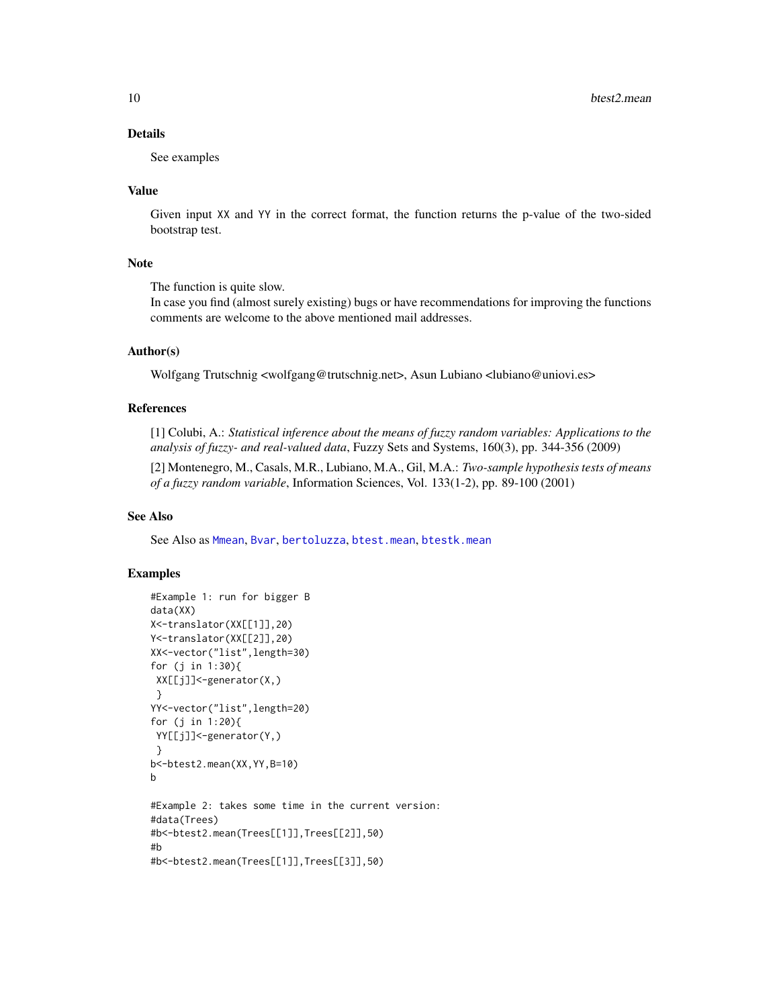## <span id="page-9-0"></span>Details

See examples

#### Value

Given input XX and YY in the correct format, the function returns the p-value of the two-sided bootstrap test.

#### Note

The function is quite slow.

In case you find (almost surely existing) bugs or have recommendations for improving the functions comments are welcome to the above mentioned mail addresses.

#### Author(s)

Wolfgang Trutschnig <wolfgang@trutschnig.net>, Asun Lubiano <lubiano@uniovi.es>

#### References

[1] Colubi, A.: *Statistical inference about the means of fuzzy random variables: Applications to the analysis of fuzzy- and real-valued data*, Fuzzy Sets and Systems, 160(3), pp. 344-356 (2009)

[2] Montenegro, M., Casals, M.R., Lubiano, M.A., Gil, M.A.: *Two-sample hypothesis tests of means of a fuzzy random variable*, Information Sciences, Vol. 133(1-2), pp. 89-100 (2001)

## See Also

See Also as [Mmean](#page-27-1), [Bvar](#page-11-1), [bertoluzza](#page-4-1), [btest.mean](#page-6-1), [btestk.mean](#page-10-1)

## Examples

```
#Example 1: run for bigger B
data(XX)
X<-translator(XX[[1]],20)
Y<-translator(XX[[2]],20)
XX<-vector("list",length=30)
for (j in 1:30){
XX[[j]]<-generator(X,)
}
YY<-vector("list",length=20)
for (j in 1:20){
YY[[j]]<-generator(Y,)
}
b<-btest2.mean(XX,YY,B=10)
b
#Example 2: takes some time in the current version:
#data(Trees)
#b<-btest2.mean(Trees[[1]],Trees[[2]],50)
#b
#b<-btest2.mean(Trees[[1]],Trees[[3]],50)
```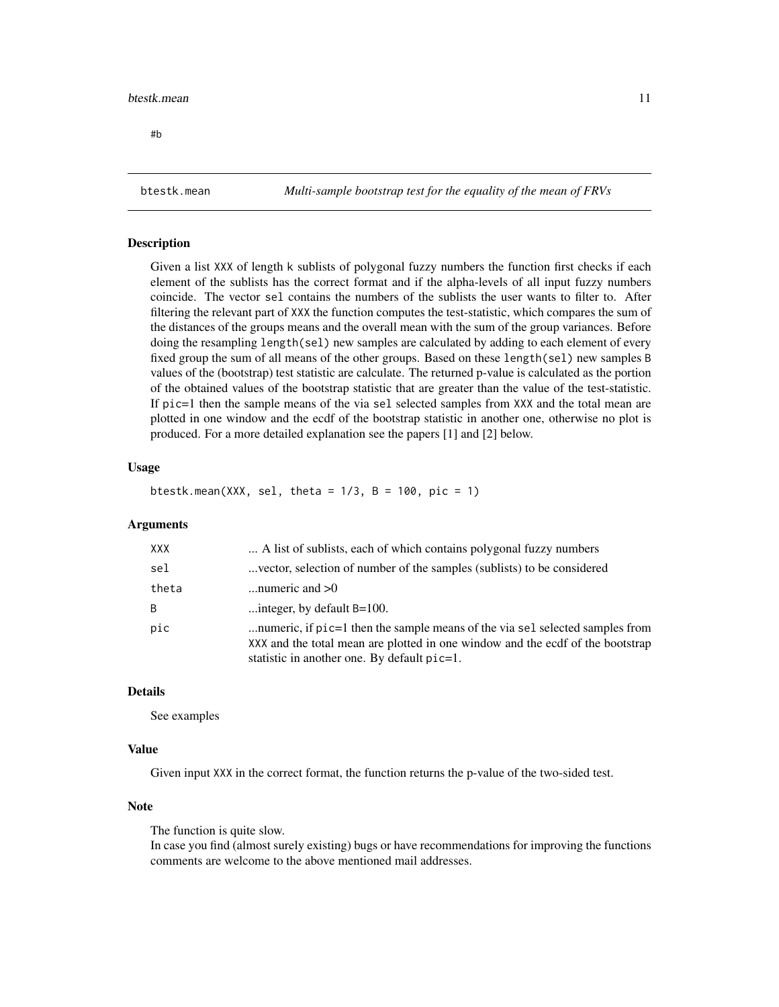#### <span id="page-10-0"></span>btestk.mean 11

#b

<span id="page-10-1"></span>btestk.mean *Multi-sample bootstrap test for the equality of the mean of FRVs*

#### Description

Given a list XXX of length k sublists of polygonal fuzzy numbers the function first checks if each element of the sublists has the correct format and if the alpha-levels of all input fuzzy numbers coincide. The vector sel contains the numbers of the sublists the user wants to filter to. After filtering the relevant part of XXX the function computes the test-statistic, which compares the sum of the distances of the groups means and the overall mean with the sum of the group variances. Before doing the resampling length(sel) new samples are calculated by adding to each element of every fixed group the sum of all means of the other groups. Based on these length(sel) new samples B values of the (bootstrap) test statistic are calculate. The returned p-value is calculated as the portion of the obtained values of the bootstrap statistic that are greater than the value of the test-statistic. If pic=1 then the sample means of the via sel selected samples from XXX and the total mean are plotted in one window and the ecdf of the bootstrap statistic in another one, otherwise no plot is produced. For a more detailed explanation see the papers [1] and [2] below.

## Usage

btestk.mean(XXX, sel, theta =  $1/3$ , B =  $100$ , pic = 1)

## Arguments

| XXX   | A list of sublists, each of which contains polygonal fuzzy numbers                                                                                                                                                 |
|-------|--------------------------------------------------------------------------------------------------------------------------------------------------------------------------------------------------------------------|
| sel   | vector, selection of number of the samples (sublists) to be considered                                                                                                                                             |
| theta | numeric and $>0$                                                                                                                                                                                                   |
| B     | integer, by default $B=100$ .                                                                                                                                                                                      |
| pic   | numeric, if $pic=1$ then the sample means of the via sel selected samples from<br>XXX and the total mean are plotted in one window and the ecdf of the bootstrap<br>statistic in another one. By default $pic=1$ . |

## Details

See examples

#### Value

Given input XXX in the correct format, the function returns the p-value of the two-sided test.

#### **Note**

The function is quite slow.

In case you find (almost surely existing) bugs or have recommendations for improving the functions comments are welcome to the above mentioned mail addresses.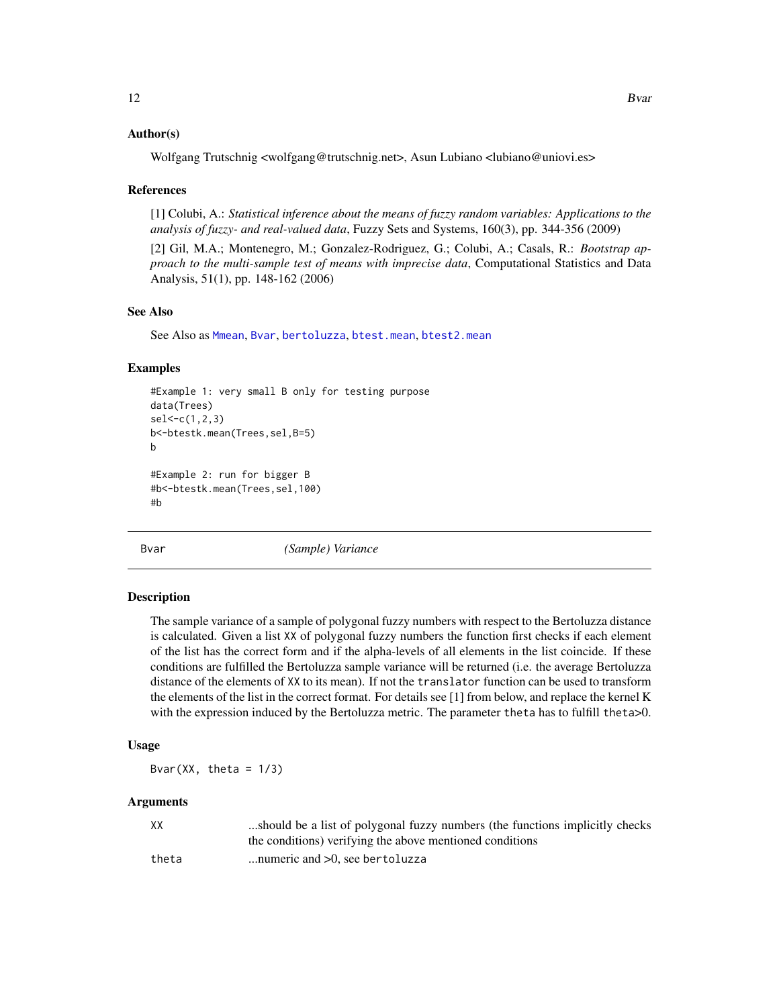## <span id="page-11-0"></span>Author(s)

Wolfgang Trutschnig <wolfgang@trutschnig.net>, Asun Lubiano <lubiano@uniovi.es>

#### References

[1] Colubi, A.: *Statistical inference about the means of fuzzy random variables: Applications to the analysis of fuzzy- and real-valued data*, Fuzzy Sets and Systems, 160(3), pp. 344-356 (2009)

[2] Gil, M.A.; Montenegro, M.; Gonzalez-Rodriguez, G.; Colubi, A.; Casals, R.: *Bootstrap approach to the multi-sample test of means with imprecise data*, Computational Statistics and Data Analysis, 51(1), pp. 148-162 (2006)

#### See Also

See Also as [Mmean](#page-27-1), [Bvar](#page-11-1), [bertoluzza](#page-4-1), [btest.mean](#page-6-1), [btest2.mean](#page-8-1)

#### Examples

```
#Example 1: very small B only for testing purpose
data(Trees)
sel<-c(1,2,3)
b<-btestk.mean(Trees,sel,B=5)
b
#Example 2: run for bigger B
#b<-btestk.mean(Trees,sel,100)
#b
```
<span id="page-11-1"></span>Bvar *(Sample) Variance*

#### Description

The sample variance of a sample of polygonal fuzzy numbers with respect to the Bertoluzza distance is calculated. Given a list XX of polygonal fuzzy numbers the function first checks if each element of the list has the correct form and if the alpha-levels of all elements in the list coincide. If these conditions are fulfilled the Bertoluzza sample variance will be returned (i.e. the average Bertoluzza distance of the elements of XX to its mean). If not the translator function can be used to transform the elements of the list in the correct format. For details see [1] from below, and replace the kernel K with the expression induced by the Bertoluzza metric. The parameter theta has to fulfill theta>0.

#### Usage

Bvar $(XX, theta = 1/3)$ 

#### Arguments

| XX    | should be a list of polygonal fuzzy numbers (the functions implicitly checks |
|-------|------------------------------------------------------------------------------|
|       | the conditions) verifying the above mentioned conditions                     |
| theta | numeric and $>0$ , see bertoluzza                                            |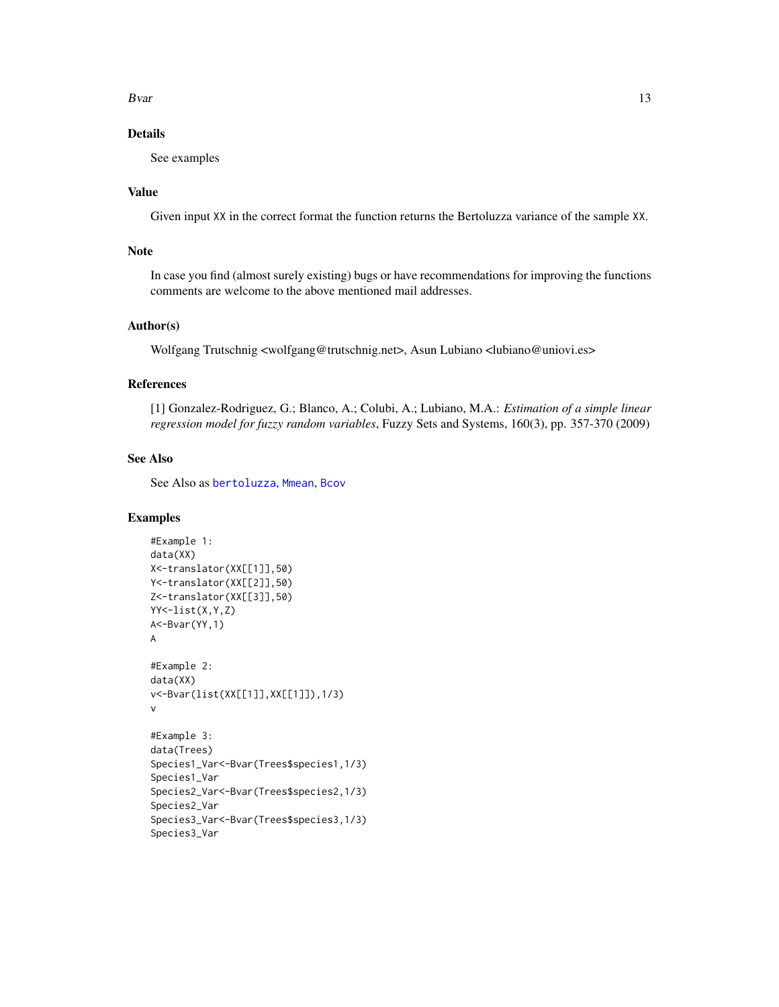<span id="page-12-0"></span> $Bvar$  13

## Details

See examples

## Value

Given input XX in the correct format the function returns the Bertoluzza variance of the sample XX.

## Note

In case you find (almost surely existing) bugs or have recommendations for improving the functions comments are welcome to the above mentioned mail addresses.

#### Author(s)

Wolfgang Trutschnig <wolfgang@trutschnig.net>, Asun Lubiano <lubiano@uniovi.es>

## References

[1] Gonzalez-Rodriguez, G.; Blanco, A.; Colubi, A.; Lubiano, M.A.: *Estimation of a simple linear regression model for fuzzy random variables*, Fuzzy Sets and Systems, 160(3), pp. 357-370 (2009)

### See Also

See Also as [bertoluzza](#page-4-1), [Mmean](#page-27-1), [Bcov](#page-2-1)

#### Examples

```
#Example 1:
data(XX)
X<-translator(XX[[1]],50)
Y<-translator(XX[[2]],50)
Z<-translator(XX[[3]],50)
YY<-list(X,Y,Z)
A<-Bvar(YY,1)
A
#Example 2:
data(XX)
v<-Bvar(list(XX[[1]],XX[[1]]),1/3)
v
#Example 3:
data(Trees)
Species1_Var<-Bvar(Trees$species1,1/3)
Species1_Var
Species2_Var<-Bvar(Trees$species2,1/3)
Species2_Var
Species3_Var<-Bvar(Trees$species3,1/3)
Species3_Var
```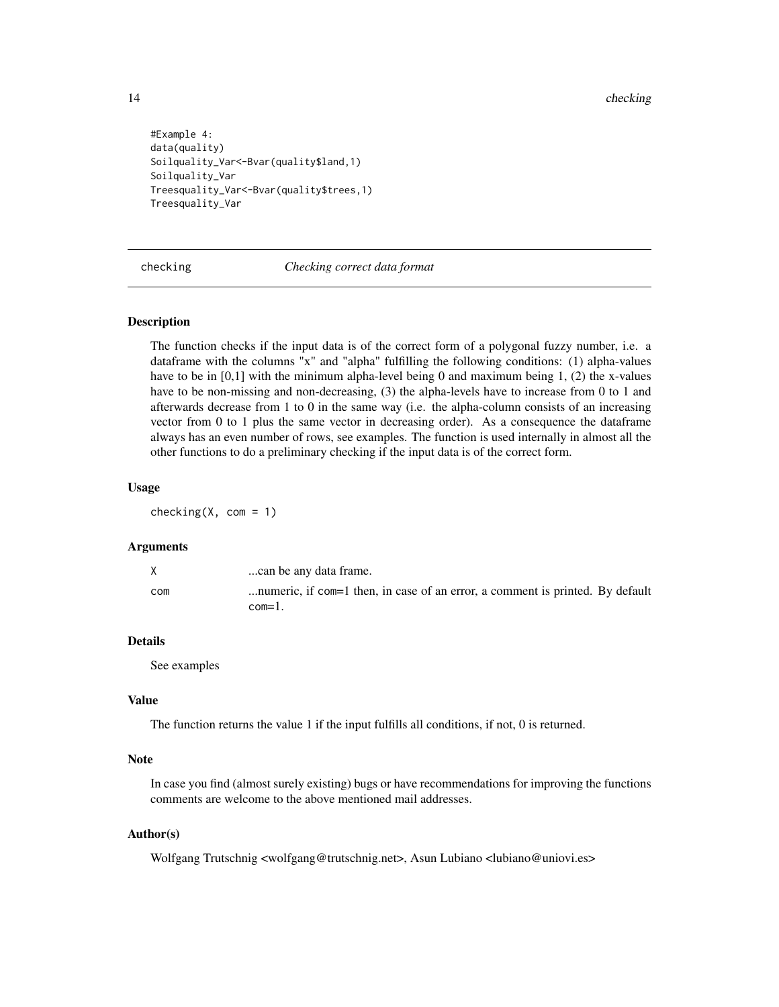```
#Example 4:
data(quality)
Soilquality_Var<-Bvar(quality$land,1)
Soilquality_Var
Treesquality_Var<-Bvar(quality$trees,1)
Treesquality_Var
```
<span id="page-13-1"></span>checking *Checking correct data format*

#### Description

The function checks if the input data is of the correct form of a polygonal fuzzy number, i.e. a dataframe with the columns "x" and "alpha" fulfilling the following conditions: (1) alpha-values have to be in  $[0,1]$  with the minimum alpha-level being 0 and maximum being 1, (2) the x-values have to be non-missing and non-decreasing, (3) the alpha-levels have to increase from 0 to 1 and afterwards decrease from 1 to 0 in the same way (i.e. the alpha-column consists of an increasing vector from 0 to 1 plus the same vector in decreasing order). As a consequence the dataframe always has an even number of rows, see examples. The function is used internally in almost all the other functions to do a preliminary checking if the input data is of the correct form.

#### Usage

checking( $X$ , com = 1)

#### Arguments

|     | can be any data frame.                                                        |
|-----|-------------------------------------------------------------------------------|
| com | numeric, if com=1 then, in case of an error, a comment is printed. By default |
|     | $com=1$ .                                                                     |

#### Details

See examples

#### Value

The function returns the value 1 if the input fulfills all conditions, if not, 0 is returned.

#### Note

In case you find (almost surely existing) bugs or have recommendations for improving the functions comments are welcome to the above mentioned mail addresses.

#### Author(s)

Wolfgang Trutschnig <wolfgang@trutschnig.net>, Asun Lubiano <lubiano@uniovi.es>

<span id="page-13-0"></span>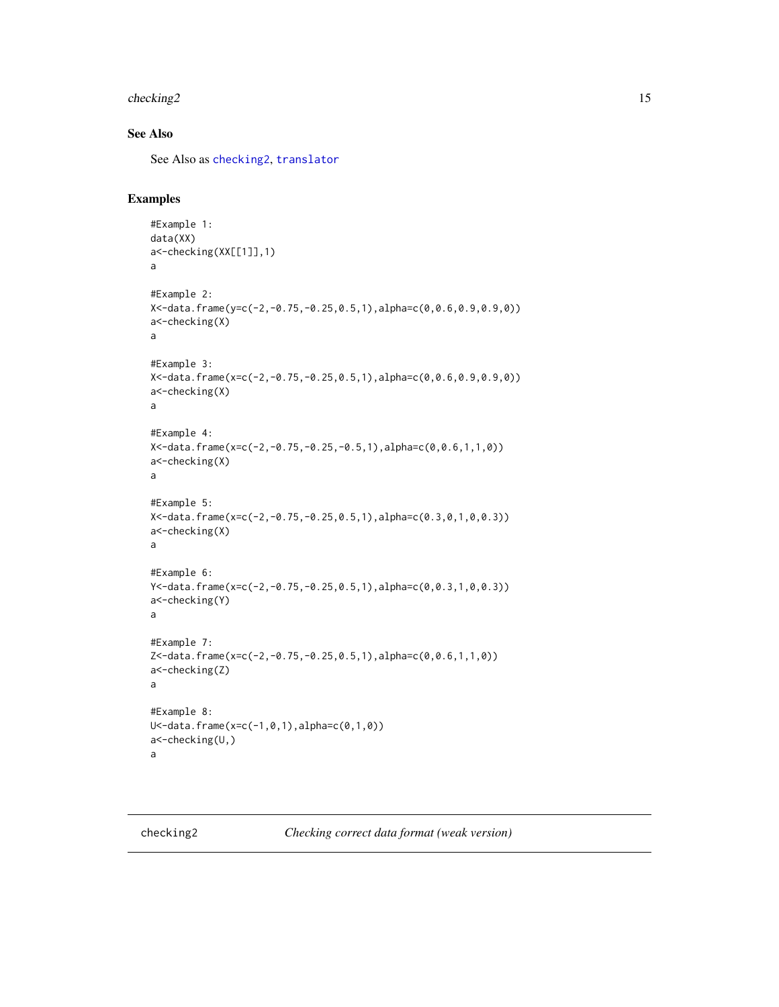## <span id="page-14-0"></span>checking 2 15

## See Also

See Also as [checking2](#page-14-1), [translator](#page-32-1)

## Examples

```
#Example 1:
data(XX)
a<-checking(XX[[1]],1)
a
#Example 2:
X<-data.frame(y=c(-2,-0.75,-0.25,0.5,1),alpha=c(0,0.6,0.9,0.9,0))
a<-checking(X)
a
#Example 3:
X<-data.frame(x=c(-2,-0.75,-0.25,0.5,1),alpha=c(0,0.6,0.9,0.9,0))
a<-checking(X)
a
#Example 4:
X<-data.frame(x=c(-2,-0.75,-0.25,-0.5,1),alpha=c(0,0.6,1,1,0))
a<-checking(X)
a
#Example 5:
X<-data.frame(x=c(-2,-0.75,-0.25,0.5,1),alpha=c(0.3,0,1,0,0.3))
a<-checking(X)
a
#Example 6:
Y<-data.frame(x=c(-2,-0.75,-0.25,0.5,1),alpha=c(0,0.3,1,0,0.3))
a<-checking(Y)
a
#Example 7:
Z<-data.frame(x=c(-2,-0.75,-0.25,0.5,1),alpha=c(0,0.6,1,1,0))
a<-checking(Z)
a
#Example 8:
U<-data.frame(x=c(-1,0,1),alpha=c(0,1,0))
a<-checking(U,)
a
```
<span id="page-14-1"></span>checking2 *Checking correct data format (weak version)*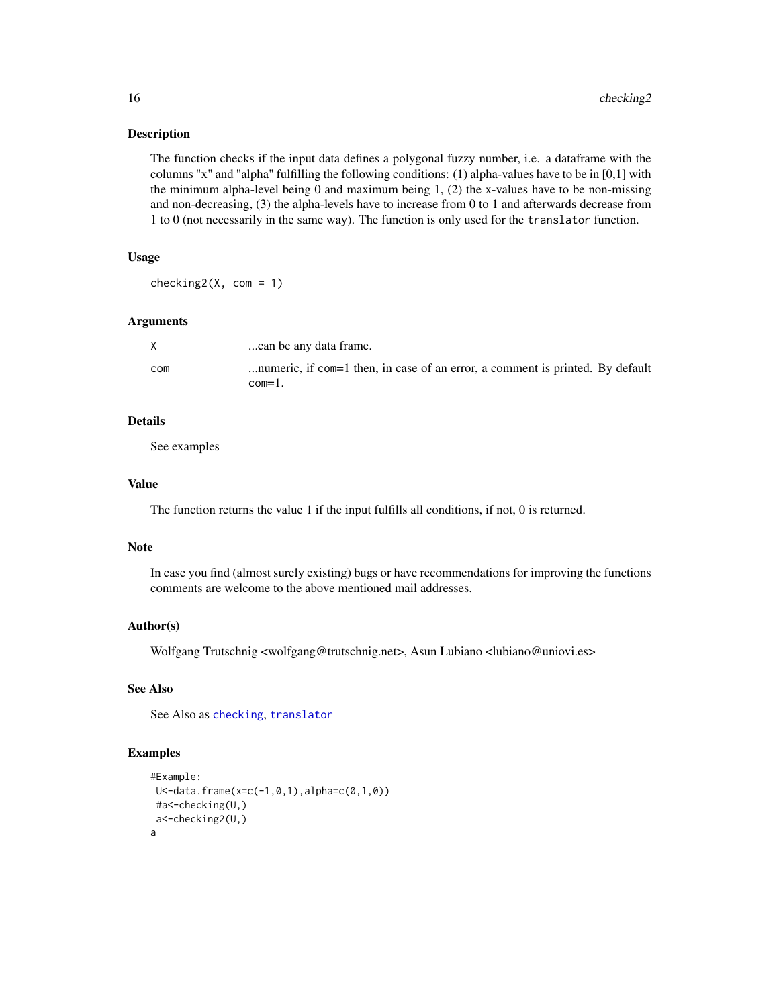#### Description

The function checks if the input data defines a polygonal fuzzy number, i.e. a dataframe with the columns "x" and "alpha" fulfilling the following conditions: (1) alpha-values have to be in [0,1] with the minimum alpha-level being 0 and maximum being  $1$ , (2) the x-values have to be non-missing and non-decreasing, (3) the alpha-levels have to increase from 0 to 1 and afterwards decrease from 1 to 0 (not necessarily in the same way). The function is only used for the translator function.

## Usage

 $checking2(X, com = 1)$ 

#### Arguments

|     | can be any data frame.                                                                  |
|-----|-----------------------------------------------------------------------------------------|
| com | numeric, if com=1 then, in case of an error, a comment is printed. By default<br>com=1. |

## Details

See examples

## Value

The function returns the value 1 if the input fulfills all conditions, if not, 0 is returned.

#### Note

In case you find (almost surely existing) bugs or have recommendations for improving the functions comments are welcome to the above mentioned mail addresses.

#### Author(s)

Wolfgang Trutschnig <wolfgang@trutschnig.net>, Asun Lubiano <lubiano@uniovi.es>

## See Also

See Also as [checking](#page-13-1), [translator](#page-32-1)

#### Examples

```
#Example:
U<-data.frame(x=c(-1,0,1),alpha=c(0,1,0))
#a<-checking(U,)
a<-checking2(U,)
a
```
<span id="page-15-0"></span>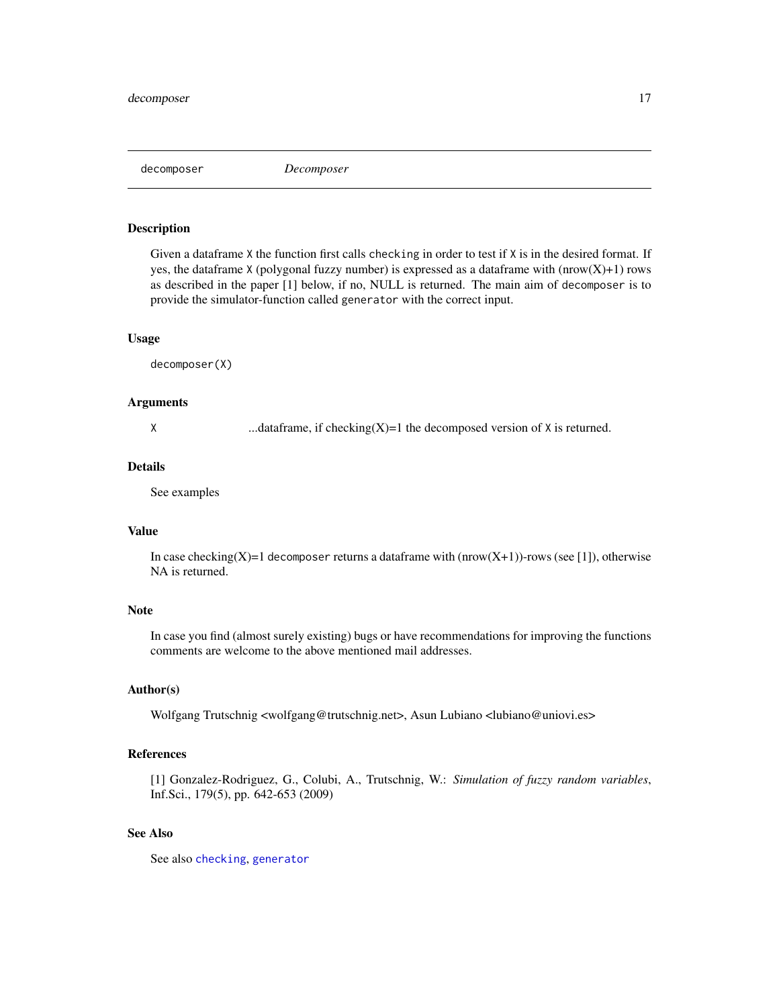<span id="page-16-1"></span><span id="page-16-0"></span>decomposer *Decomposer*

#### Description

Given a dataframe X the function first calls checking in order to test if X is in the desired format. If yes, the dataframe X (polygonal fuzzy number) is expressed as a dataframe with  $(nrow(X)+1)$  rows as described in the paper [1] below, if no, NULL is returned. The main aim of decomposer is to provide the simulator-function called generator with the correct input.

#### Usage

decomposer(X)

#### Arguments

X ...dataframe, if checking(X)=1 the decomposed version of  $X$  is returned.

#### Details

See examples

## Value

In case checking(X)=1 decomposer returns a dataframe with  $(nrow(X+1))$ -rows (see [1]), otherwise NA is returned.

#### Note

In case you find (almost surely existing) bugs or have recommendations for improving the functions comments are welcome to the above mentioned mail addresses.

#### Author(s)

Wolfgang Trutschnig <wolfgang@trutschnig.net>, Asun Lubiano <lubiano@uniovi.es>

## References

[1] Gonzalez-Rodriguez, G., Colubi, A., Trutschnig, W.: *Simulation of fuzzy random variables*, Inf.Sci., 179(5), pp. 642-653 (2009)

## See Also

See also [checking](#page-13-1), [generator](#page-23-1)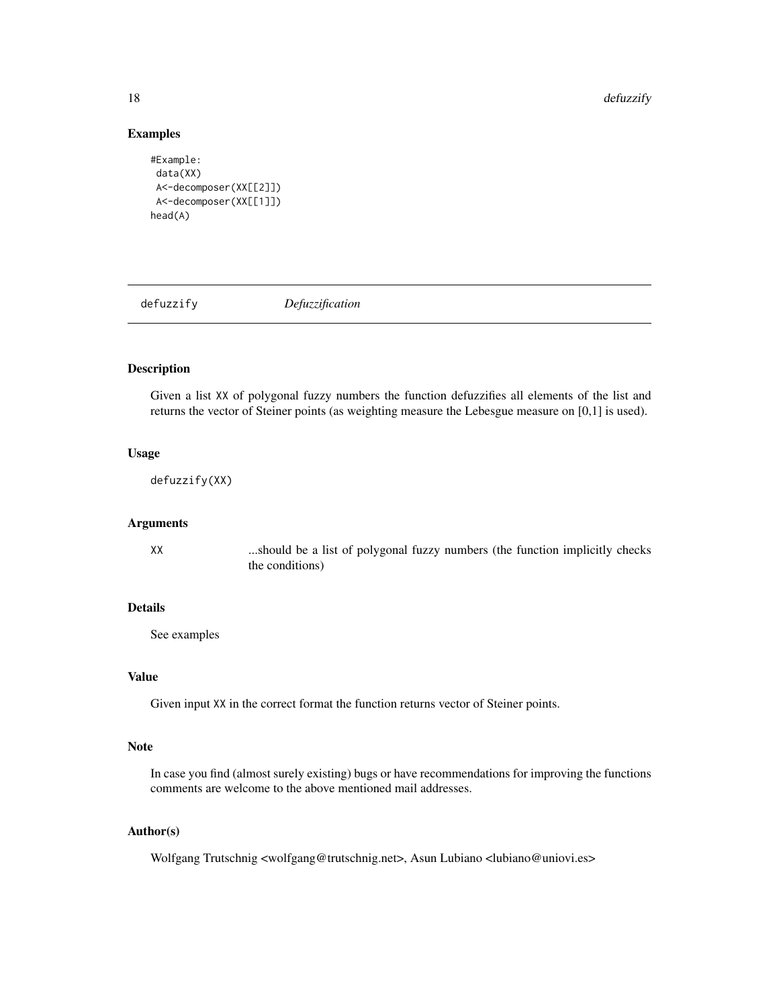<span id="page-17-0"></span>18 defuzzify the contract of the contract of the contract of the contract of the contract of the contract of the contract of the contract of the contract of the contract of the contract of the contract of the contract of t

#### Examples

```
#Example:
data(XX)
A<-decomposer(XX[[2]])
A<-decomposer(XX[[1]])
head(A)
```
defuzzify *Defuzzification*

## Description

Given a list XX of polygonal fuzzy numbers the function defuzzifies all elements of the list and returns the vector of Steiner points (as weighting measure the Lebesgue measure on [0,1] is used).

## Usage

defuzzify(XX)

## Arguments

XX ...should be a list of polygonal fuzzy numbers (the function implicitly checks the conditions)

#### Details

See examples

#### Value

Given input XX in the correct format the function returns vector of Steiner points.

## Note

In case you find (almost surely existing) bugs or have recommendations for improving the functions comments are welcome to the above mentioned mail addresses.

## Author(s)

Wolfgang Trutschnig <wolfgang@trutschnig.net>, Asun Lubiano <lubiano@uniovi.es>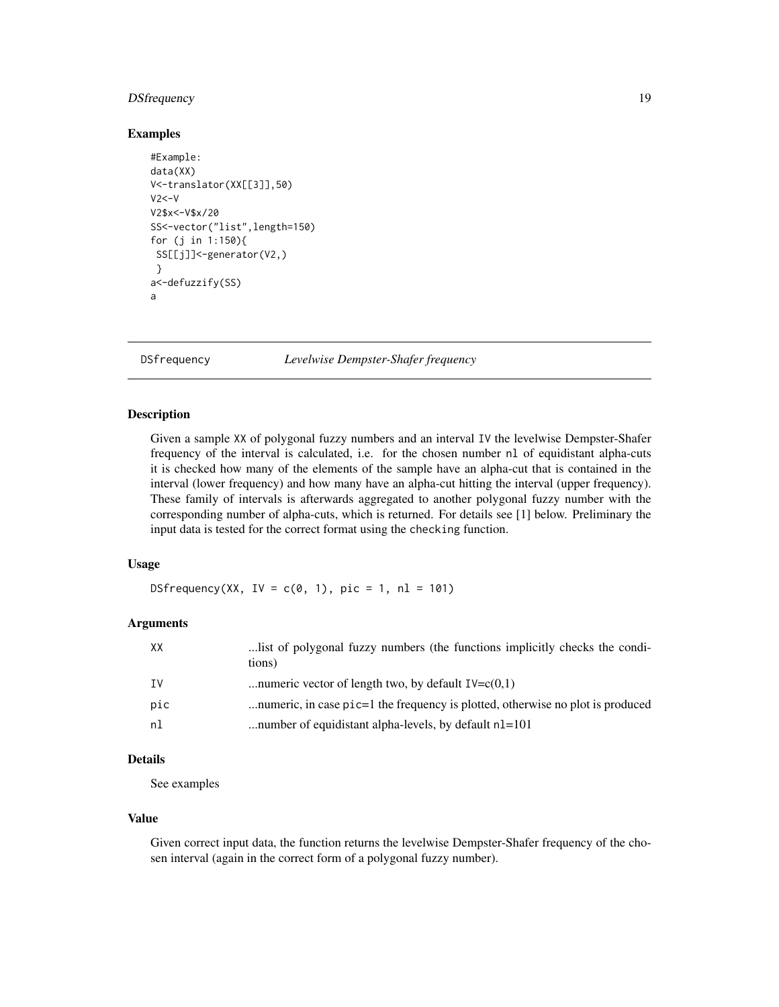## <span id="page-18-0"></span>DSfrequency 19

#### Examples

```
#Example:
data(XX)
V<-translator(XX[[3]],50)
V2<-VV2$x<-V$x/20
SS<-vector("list",length=150)
for (j in 1:150){
 SS[[j]]<-generator(V2,)
 }
a<-defuzzify(SS)
a
```
<span id="page-18-1"></span>DSfrequency *Levelwise Dempster-Shafer frequency*

## Description

Given a sample XX of polygonal fuzzy numbers and an interval IV the levelwise Dempster-Shafer frequency of the interval is calculated, i.e. for the chosen number nl of equidistant alpha-cuts it is checked how many of the elements of the sample have an alpha-cut that is contained in the interval (lower frequency) and how many have an alpha-cut hitting the interval (upper frequency). These family of intervals is afterwards aggregated to another polygonal fuzzy number with the corresponding number of alpha-cuts, which is returned. For details see [1] below. Preliminary the input data is tested for the correct format using the checking function.

#### Usage

DSfrequency(XX, IV =  $c(0, 1)$ , pic = 1, nl = 101)

#### Arguments

| XХ  | list of polygonal fuzzy numbers (the functions implicitly checks the condi-<br>tions) |
|-----|---------------------------------------------------------------------------------------|
| IV  | numeric vector of length two, by default $IV=C(0,1)$                                  |
| pic | numeric, in case pic=1 the frequency is plotted, otherwise no plot is produced        |
| nl  | number of equidistant alpha-levels, by default $nl=101$                               |

## Details

See examples

#### Value

Given correct input data, the function returns the levelwise Dempster-Shafer frequency of the chosen interval (again in the correct form of a polygonal fuzzy number).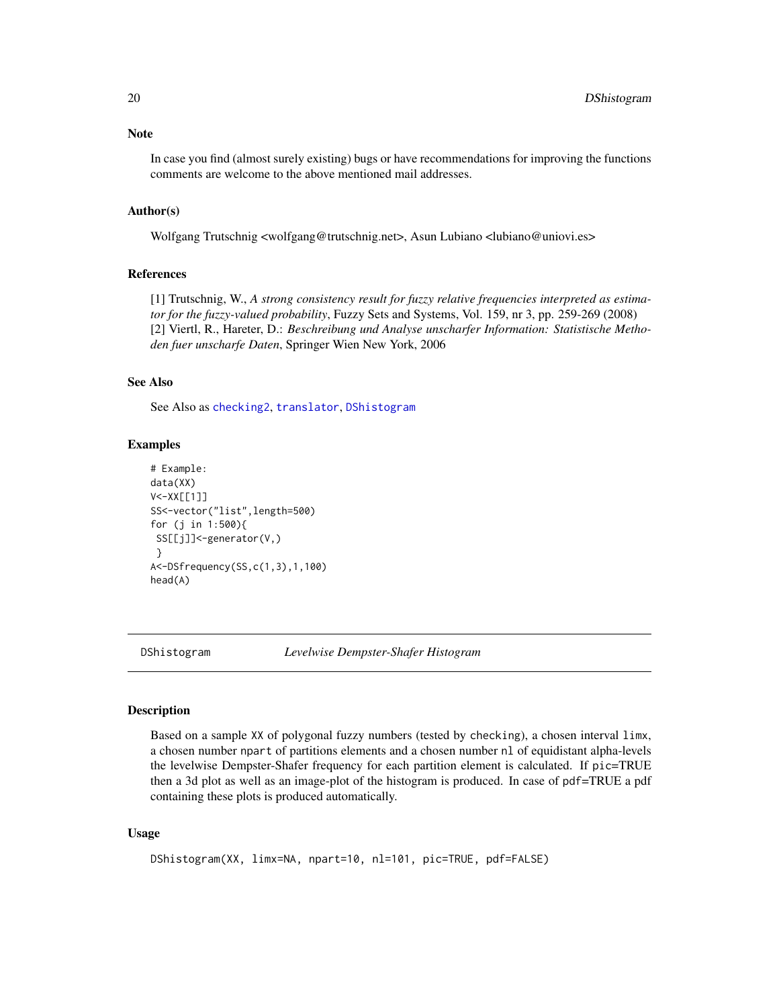<span id="page-19-0"></span>In case you find (almost surely existing) bugs or have recommendations for improving the functions comments are welcome to the above mentioned mail addresses.

#### Author(s)

Wolfgang Trutschnig <wolfgang@trutschnig.net>, Asun Lubiano <lubiano@uniovi.es>

#### References

[1] Trutschnig, W., *A strong consistency result for fuzzy relative frequencies interpreted as estimator for the fuzzy-valued probability*, Fuzzy Sets and Systems, Vol. 159, nr 3, pp. 259-269 (2008) [2] Viertl, R., Hareter, D.: *Beschreibung und Analyse unscharfer Information: Statistische Methoden fuer unscharfe Daten*, Springer Wien New York, 2006

#### See Also

See Also as [checking2](#page-14-1), [translator](#page-32-1), [DShistogram](#page-19-1)

#### Examples

```
# Example:
data(XX)
V<-XX[[1]]
SS<-vector("list",length=500)
for (j in 1:500){
SS[[j]]<-generator(V,)
}
A<-DSfrequency(SS,c(1,3),1,100)
head(A)
```
<span id="page-19-1"></span>

DShistogram *Levelwise Dempster-Shafer Histogram*

#### Description

Based on a sample XX of polygonal fuzzy numbers (tested by checking), a chosen interval limx, a chosen number npart of partitions elements and a chosen number nl of equidistant alpha-levels the levelwise Dempster-Shafer frequency for each partition element is calculated. If pic=TRUE then a 3d plot as well as an image-plot of the histogram is produced. In case of pdf=TRUE a pdf containing these plots is produced automatically.

#### Usage

```
DShistogram(XX, limx=NA, npart=10, nl=101, pic=TRUE, pdf=FALSE)
```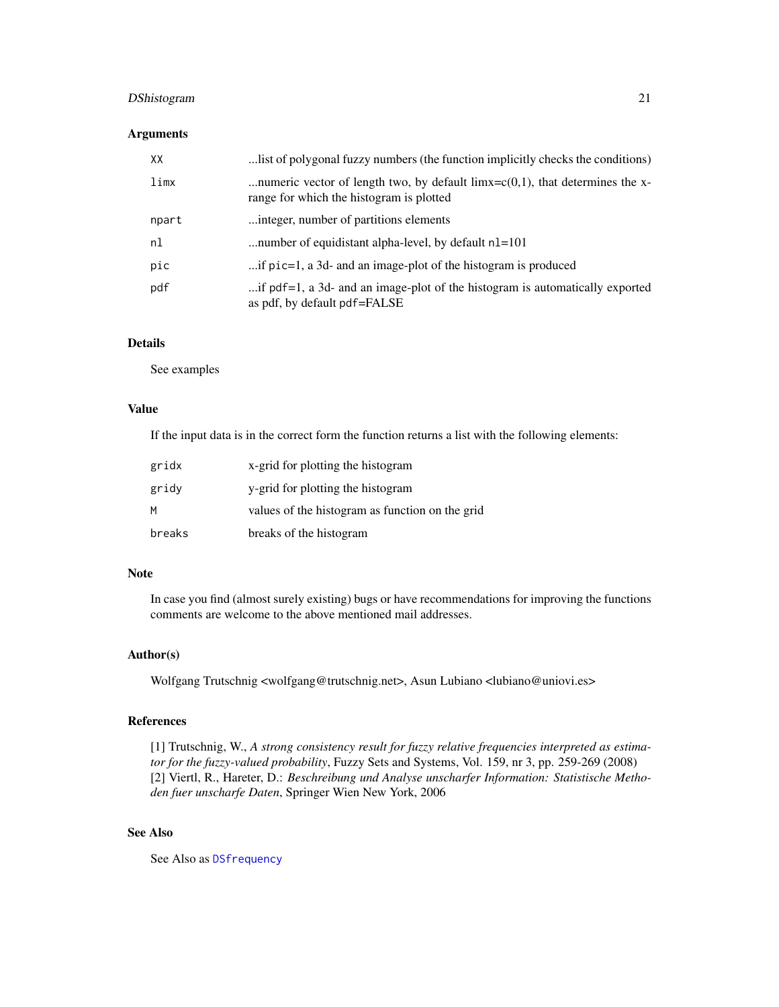## <span id="page-20-0"></span>DShistogram 21

## Arguments

| XX    | list of polygonal fuzzy numbers (the function implicitly checks the conditions)                                                 |
|-------|---------------------------------------------------------------------------------------------------------------------------------|
| limx  | numeric vector of length two, by default $\lim x = c(0,1)$ , that determines the x-<br>range for which the histogram is plotted |
| npart | integer, number of partitions elements                                                                                          |
| nl    | number of equidistant alpha-level, by default n1=101                                                                            |
| pic   | if pic=1, a 3d- and an image-plot of the histogram is produced                                                                  |
| pdf   | if pdf=1, a 3d- and an image-plot of the histogram is automatically exported<br>as pdf, by default pdf=FALSE                    |

## Details

See examples

#### Value

If the input data is in the correct form the function returns a list with the following elements:

| gridx  | x-grid for plotting the histogram               |
|--------|-------------------------------------------------|
| gridy  | y-grid for plotting the histogram               |
| M      | values of the histogram as function on the grid |
| breaks | breaks of the histogram                         |

## Note

In case you find (almost surely existing) bugs or have recommendations for improving the functions comments are welcome to the above mentioned mail addresses.

## Author(s)

Wolfgang Trutschnig <wolfgang@trutschnig.net>, Asun Lubiano <lubiano@uniovi.es>

## References

[1] Trutschnig, W., *A strong consistency result for fuzzy relative frequencies interpreted as estimator for the fuzzy-valued probability*, Fuzzy Sets and Systems, Vol. 159, nr 3, pp. 259-269 (2008) [2] Viertl, R., Hareter, D.: *Beschreibung und Analyse unscharfer Information: Statistische Methoden fuer unscharfe Daten*, Springer Wien New York, 2006

## See Also

See Also as [DSfrequency](#page-18-1)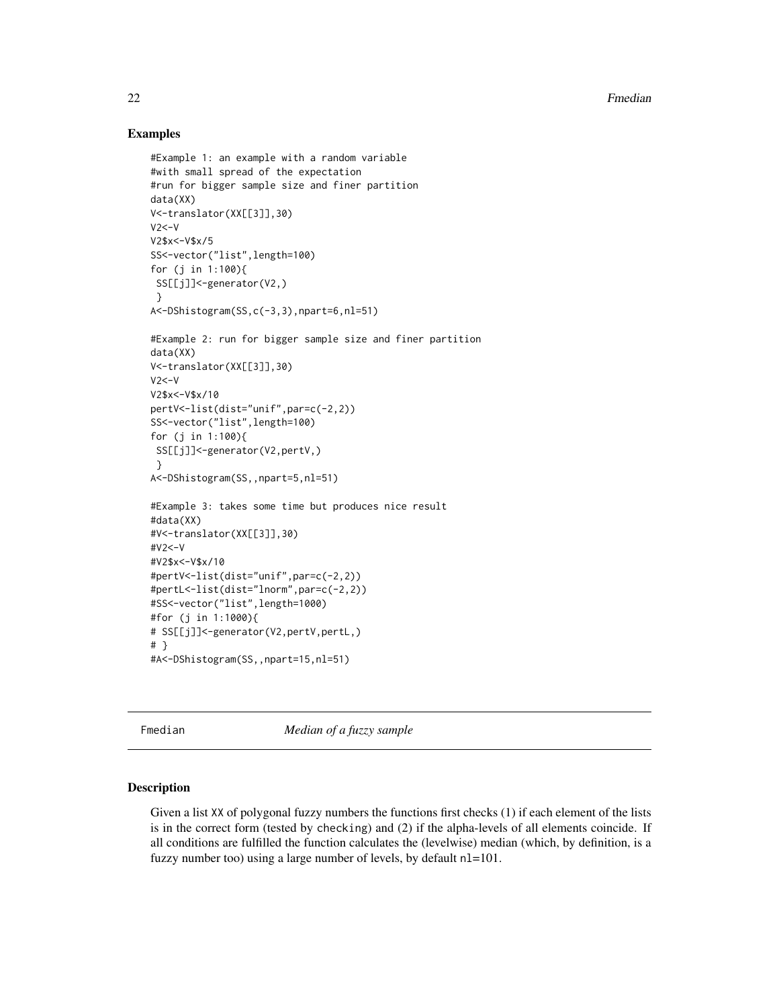## Examples

```
#Example 1: an example with a random variable
#with small spread of the expectation
#run for bigger sample size and finer partition
data(XX)
V<-translator(XX[[3]],30)
V2<-VV2$x<-V$x/5
SS<-vector("list",length=100)
for (j in 1:100){
SS[[j]]<-generator(V2,)
 }
A<-DShistogram(SS,c(-3,3),npart=6,nl=51)
#Example 2: run for bigger sample size and finer partition
data(XX)
V<-translator(XX[[3]],30)
V2<-VV2$x<-V$x/10
pertV<-list(dist="unif",par=c(-2,2))
SS<-vector("list",length=100)
for (j in 1:100){
 SS[[j]]<-generator(V2,pertV,)
 }
A<-DShistogram(SS,,npart=5,nl=51)
#Example 3: takes some time but produces nice result
#data(XX)
#V<-translator(XX[[3]],30)
#V2<-V
#V2$x<-V$x/10
#pertV<-list(dist="unif",par=c(-2,2))
#pertL<-list(dist="lnorm",par=c(-2,2))
#SS<-vector("list",length=1000)
#for (j in 1:1000){
# SS[[j]]<-generator(V2,pertV,pertL,)
# }
#A<-DShistogram(SS,,npart=15,nl=51)
```
Fmedian *Median of a fuzzy sample*

#### Description

Given a list XX of polygonal fuzzy numbers the functions first checks (1) if each element of the lists is in the correct form (tested by checking) and (2) if the alpha-levels of all elements coincide. If all conditions are fulfilled the function calculates the (levelwise) median (which, by definition, is a fuzzy number too) using a large number of levels, by default nl=101.

<span id="page-21-0"></span>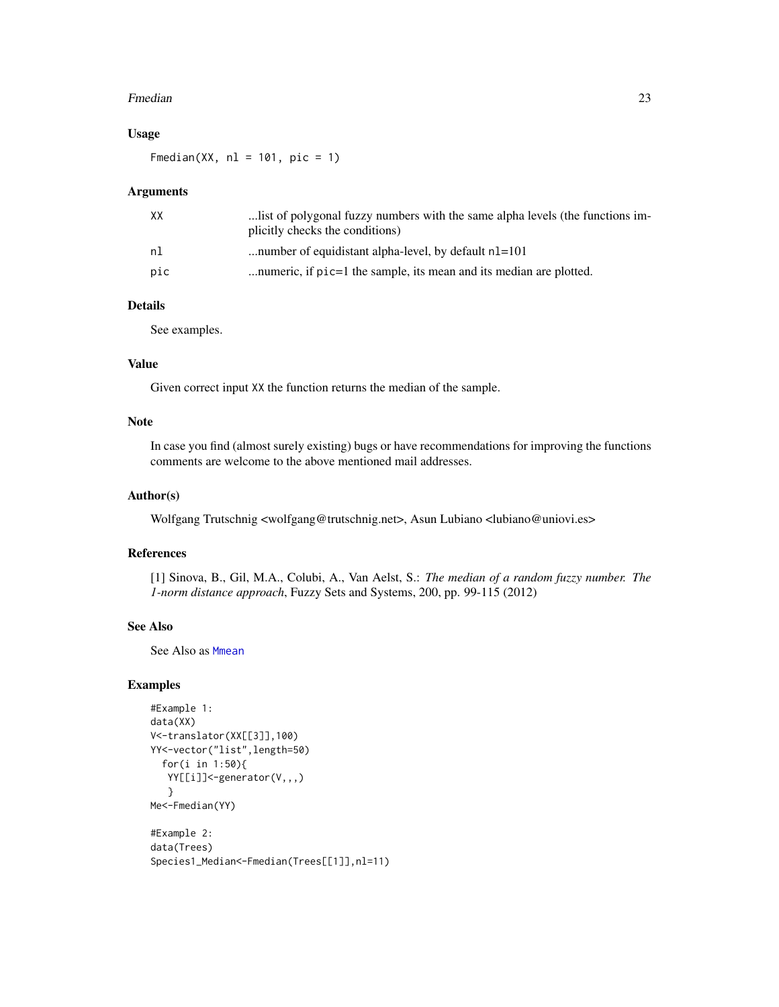#### <span id="page-22-0"></span>Fmedian 23

## Usage

Fmedian(XX,  $nl = 101$ ,  $pic = 1$ )

#### Arguments

| XX  | list of polygonal fuzzy numbers with the same alpha levels (the functions im-<br>plicitly checks the conditions) |
|-----|------------------------------------------------------------------------------------------------------------------|
| nl  | number of equidistant alpha-level, by default n1=101                                                             |
| pic | numeric, if $pic=1$ the sample, its mean and its median are plotted.                                             |

#### Details

See examples.

## Value

Given correct input XX the function returns the median of the sample.

#### Note

In case you find (almost surely existing) bugs or have recommendations for improving the functions comments are welcome to the above mentioned mail addresses.

## Author(s)

Wolfgang Trutschnig <wolfgang@trutschnig.net>, Asun Lubiano <lubiano@uniovi.es>

#### References

[1] Sinova, B., Gil, M.A., Colubi, A., Van Aelst, S.: *The median of a random fuzzy number. The 1-norm distance approach*, Fuzzy Sets and Systems, 200, pp. 99-115 (2012)

## See Also

See Also as [Mmean](#page-27-1)

## Examples

```
#Example 1:
data(XX)
V<-translator(XX[[3]],100)
YY<-vector("list",length=50)
  for(i in 1:50){
  YY[[i]]<-generator(V,,,)
   }
Me<-Fmedian(YY)
```

```
#Example 2:
data(Trees)
Species1_Median<-Fmedian(Trees[[1]],nl=11)
```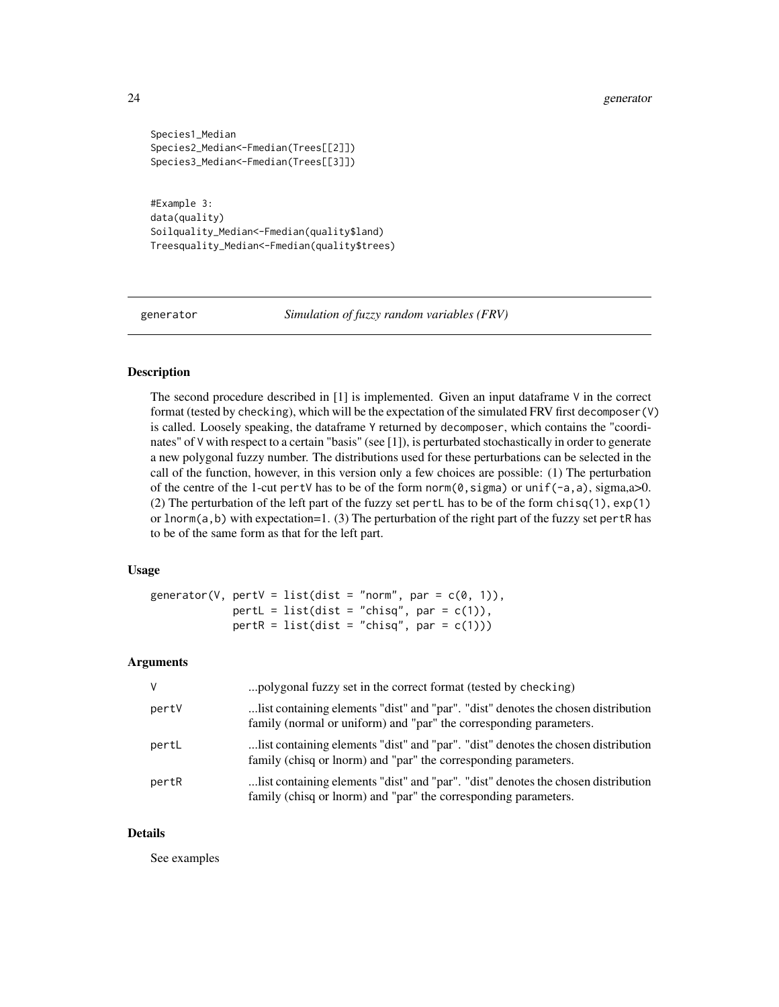```
Species1_Median
Species2_Median<-Fmedian(Trees[[2]])
Species3_Median<-Fmedian(Trees[[3]])
```
#Example 3: data(quality) Soilquality\_Median<-Fmedian(quality\$land) Treesquality\_Median<-Fmedian(quality\$trees)

<span id="page-23-1"></span>generator *Simulation of fuzzy random variables (FRV)*

## Description

The second procedure described in  $[1]$  is implemented. Given an input dataframe  $\vee$  in the correct format (tested by checking), which will be the expectation of the simulated FRV first decomposer(V) is called. Loosely speaking, the dataframe Y returned by decomposer, which contains the "coordinates" of V with respect to a certain "basis" (see [1]), is perturbated stochastically in order to generate a new polygonal fuzzy number. The distributions used for these perturbations can be selected in the call of the function, however, in this version only a few choices are possible: (1) The perturbation of the centre of the 1-cut pertV has to be of the form norm( $\emptyset$ , sigma) or unif( $-a$ ,  $a$ ), sigma, $a$  $>0$ . (2) The perturbation of the left part of the fuzzy set pertL has to be of the form chisq(1), exp(1) or lnorm(a,b) with expectation=1. (3) The perturbation of the right part of the fuzzy set pertR has to be of the same form as that for the left part.

## Usage

```
generator(V, pertV = list(dist = "norm", par = c(0, 1)),
            pertL = list(dist = "chisq", par = c(1)),pertR = list(dist = "chisq", par = c(1)))
```
#### Arguments

| V     | polygonal fuzzy set in the correct format (tested by checking)                                                                                           |
|-------|----------------------------------------------------------------------------------------------------------------------------------------------------------|
| perty | list containing elements "dist" and "par". "dist" denotes the chosen distribution.<br>family (normal or uniform) and "par" the corresponding parameters. |
| pertL | list containing elements "dist" and "par". "dist" denotes the chosen distribution<br>family (chisq or lnorm) and "par" the corresponding parameters.     |
| pertR | list containing elements "dist" and "par". "dist" denotes the chosen distribution.<br>family (chisq or lnorm) and "par" the corresponding parameters.    |

#### Details

See examples

<span id="page-23-0"></span>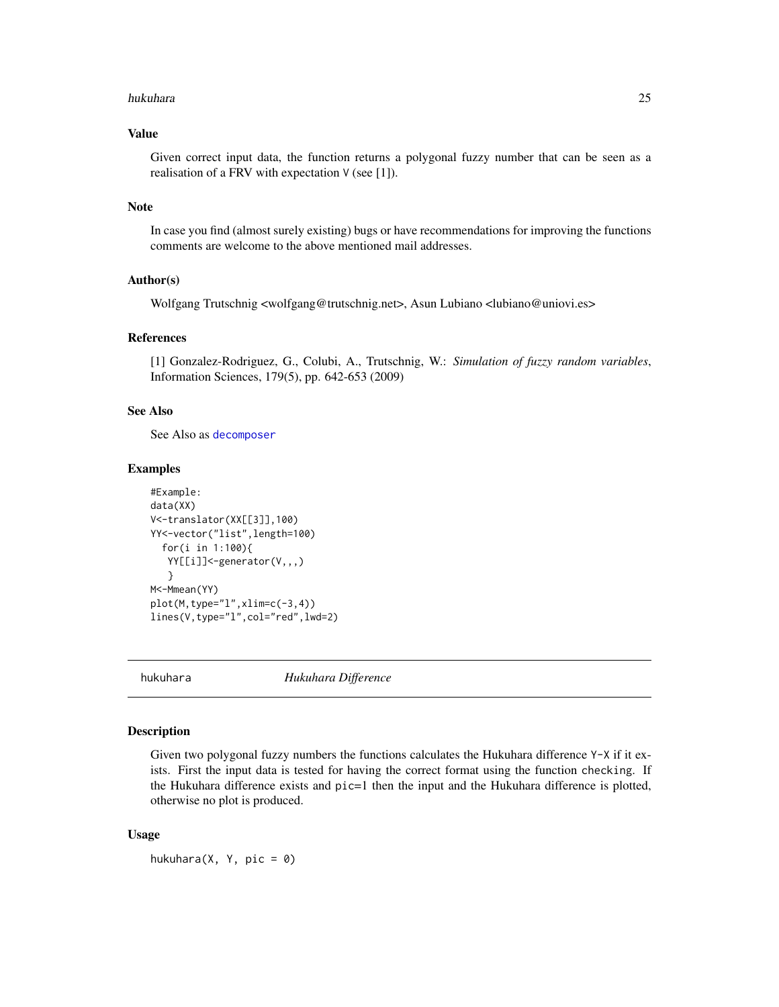#### <span id="page-24-0"></span>hukuhara 25

## Value

Given correct input data, the function returns a polygonal fuzzy number that can be seen as a realisation of a FRV with expectation V (see [1]).

#### Note

In case you find (almost surely existing) bugs or have recommendations for improving the functions comments are welcome to the above mentioned mail addresses.

## Author(s)

Wolfgang Trutschnig <wolfgang@trutschnig.net>, Asun Lubiano <lubiano@uniovi.es>

#### References

[1] Gonzalez-Rodriguez, G., Colubi, A., Trutschnig, W.: *Simulation of fuzzy random variables*, Information Sciences, 179(5), pp. 642-653 (2009)

### See Also

See Also as [decomposer](#page-16-1)

#### Examples

```
#Example:
data(XX)
V<-translator(XX[[3]],100)
YY<-vector("list",length=100)
  for(i in 1:100){
   YY[[i]]<-generator(V,,,)
   }
M<-Mmean(YY)
plot(M,type="l",xlim=c(-3,4))
lines(V,type="l",col="red",lwd=2)
```
<span id="page-24-1"></span>hukuhara *Hukuhara Difference*

## Description

Given two polygonal fuzzy numbers the functions calculates the Hukuhara difference Y-X if it exists. First the input data is tested for having the correct format using the function checking. If the Hukuhara difference exists and pic=1 then the input and the Hukuhara difference is plotted, otherwise no plot is produced.

#### Usage

hukuhara $(X, Y, \text{pic} = 0)$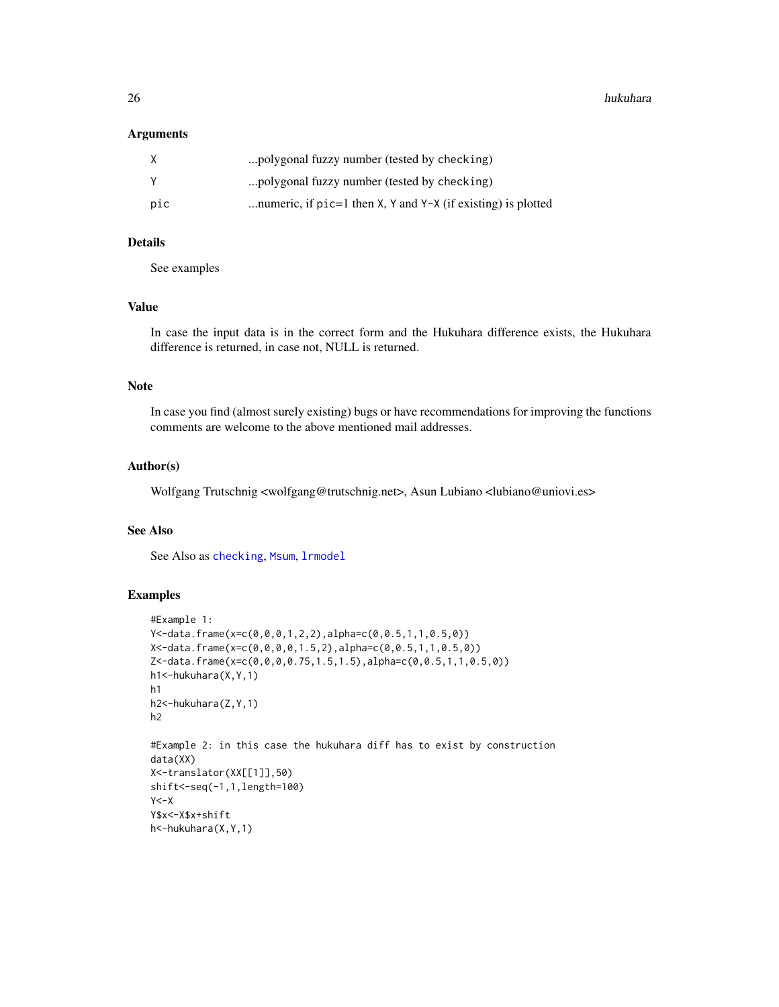26 hukuhara

#### **Arguments**

| X   | polygonal fuzzy number (tested by checking)                    |
|-----|----------------------------------------------------------------|
| Y   | polygonal fuzzy number (tested by checking)                    |
| pic | numeric, if $pic=1$ then X, Y and Y-X (if existing) is plotted |

#### Details

See examples

## Value

In case the input data is in the correct form and the Hukuhara difference exists, the Hukuhara difference is returned, in case not, NULL is returned.

## Note

In case you find (almost surely existing) bugs or have recommendations for improving the functions comments are welcome to the above mentioned mail addresses.

#### Author(s)

Wolfgang Trutschnig <wolfgang@trutschnig.net>, Asun Lubiano <lubiano@uniovi.es>

## See Also

See Also as [checking](#page-13-1), [Msum](#page-29-1), [lrmodel](#page-26-1)

## Examples

```
#Example 1:
Y<-data.frame(x=c(0,0,0,1,2,2),alpha=c(0,0.5,1,1,0.5,0))
X<-data.frame(x=c(0,0,0,0,1.5,2),alpha=c(0,0.5,1,1,0.5,0))
Z<-data.frame(x=c(0,0,0,0.75,1.5,1.5),alpha=c(0,0.5,1,1,0.5,0))
h1<-hukuhara(X,Y,1)
h1
h2<-hukuhara(Z,Y,1)
h2
#Example 2: in this case the hukuhara diff has to exist by construction
data(XX)
X<-translator(XX[[1]],50)
shift<-seq(-1,1,length=100)
Y < -XY$x<-X$x+shift
h<-hukuhara(X,Y,1)
```
<span id="page-25-0"></span>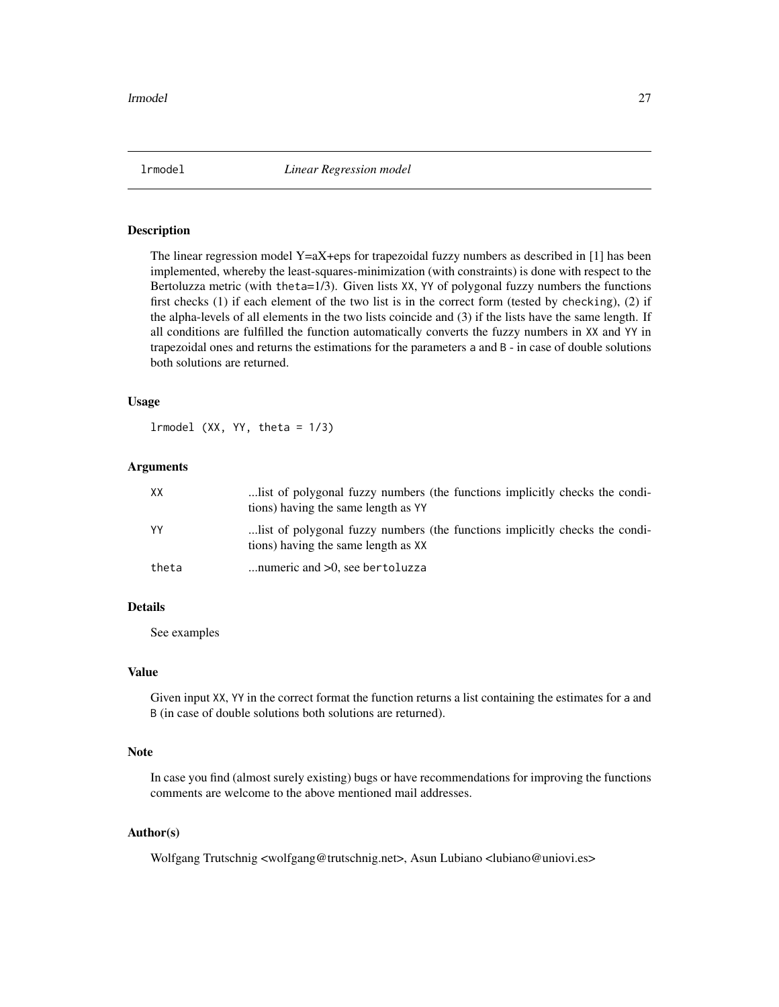<span id="page-26-1"></span><span id="page-26-0"></span>

## **Description**

The linear regression model Y=aX+eps for trapezoidal fuzzy numbers as described in  $[1]$  has been implemented, whereby the least-squares-minimization (with constraints) is done with respect to the Bertoluzza metric (with theta=1/3). Given lists XX, YY of polygonal fuzzy numbers the functions first checks (1) if each element of the two list is in the correct form (tested by checking), (2) if the alpha-levels of all elements in the two lists coincide and (3) if the lists have the same length. If all conditions are fulfilled the function automatically converts the fuzzy numbers in XX and YY in trapezoidal ones and returns the estimations for the parameters a and B - in case of double solutions both solutions are returned.

#### Usage

 $lrmodel (XX, YY, theta =  $1/3$ )$ 

#### Arguments

| XX    | list of polygonal fuzzy numbers (the functions implicitly checks the condi-<br>tions) having the same length as YY |
|-------|--------------------------------------------------------------------------------------------------------------------|
| YY    | list of polygonal fuzzy numbers (the functions implicitly checks the condi-<br>tions) having the same length as XX |
| theta | numeric and $>0$ , see bertoluzza                                                                                  |

#### Details

See examples

#### Value

Given input XX, YY in the correct format the function returns a list containing the estimates for a and B (in case of double solutions both solutions are returned).

#### Note

In case you find (almost surely existing) bugs or have recommendations for improving the functions comments are welcome to the above mentioned mail addresses.

#### Author(s)

Wolfgang Trutschnig <wolfgang@trutschnig.net>, Asun Lubiano <lubiano@uniovi.es>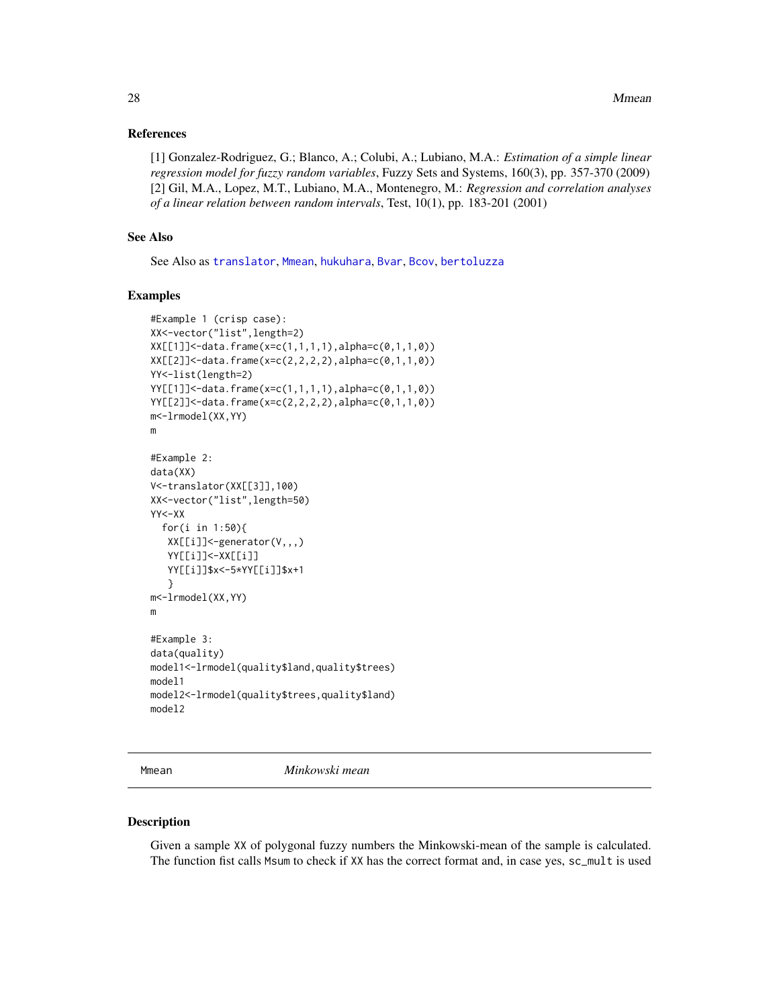#### <span id="page-27-0"></span>References

[1] Gonzalez-Rodriguez, G.; Blanco, A.; Colubi, A.; Lubiano, M.A.: *Estimation of a simple linear regression model for fuzzy random variables*, Fuzzy Sets and Systems, 160(3), pp. 357-370 (2009) [2] Gil, M.A., Lopez, M.T., Lubiano, M.A., Montenegro, M.: *Regression and correlation analyses of a linear relation between random intervals*, Test, 10(1), pp. 183-201 (2001)

## See Also

See Also as [translator](#page-32-1), [Mmean](#page-27-1), [hukuhara](#page-24-1), [Bvar](#page-11-1), [Bcov](#page-2-1), [bertoluzza](#page-4-1)

#### Examples

```
#Example 1 (crisp case):
XX<-vector("list",length=2)
XX[[1]]<-data.frame(x=c(1,1,1,1),alpha=c(0,1,1,0))
XX[[2]]<-data.frame(x=c(2,2,2,2),alpha=c(0,1,1,0))
YY<-list(length=2)
YY[[1]]<-data.frame(x=c(1,1,1,1),alpha=c(0,1,1,0))
YY[[2]]<-data.frame(x=c(2,2,2,2),alpha=c(0,1,1,0))
m<-lrmodel(XX,YY)
m
#Example 2:
data(XX)
V<-translator(XX[[3]],100)
XX<-vector("list",length=50)
YY<-XX
  for(i in 1:50){
  XX[[i]]<-generator(V,,,)
   YY[[i]]<-XX[[i]]
   YY[[i]]$x<-5*YY[[i]]$x+1
   }
m<-lrmodel(XX,YY)
m
#Example 3:
data(quality)
model1<-lrmodel(quality$land,quality$trees)
model1
model2<-lrmodel(quality$trees,quality$land)
model2
```
<span id="page-27-1"></span>Mmean *Minkowski mean*

#### Description

Given a sample XX of polygonal fuzzy numbers the Minkowski-mean of the sample is calculated. The function fist calls Msum to check if XX has the correct format and, in case yes, sc\_mult is used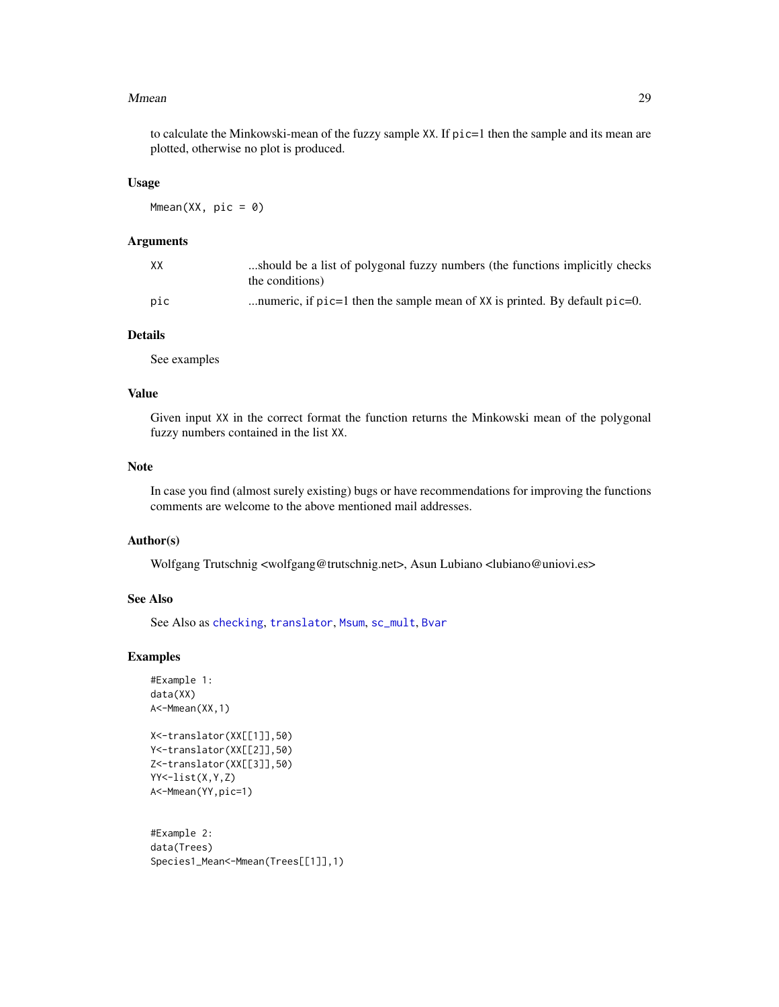#### <span id="page-28-0"></span>Mmean 29

to calculate the Minkowski-mean of the fuzzy sample XX. If pic=1 then the sample and its mean are plotted, otherwise no plot is produced.

#### Usage

 $Mmean(XX, pic = 0)$ 

#### Arguments

| XX  | should be a list of polygonal fuzzy numbers (the functions implicitly checks<br>the conditions) |
|-----|-------------------------------------------------------------------------------------------------|
| pic | numeric, if $pic=1$ then the sample mean of XX is printed. By default $pic=0$ .                 |

## Details

See examples

## Value

Given input XX in the correct format the function returns the Minkowski mean of the polygonal fuzzy numbers contained in the list XX.

#### Note

In case you find (almost surely existing) bugs or have recommendations for improving the functions comments are welcome to the above mentioned mail addresses.

#### Author(s)

Wolfgang Trutschnig <wolfgang@trutschnig.net>, Asun Lubiano <lubiano@uniovi.es>

## See Also

See Also as [checking](#page-13-1), [translator](#page-32-1), [Msum](#page-29-1), [sc\\_mult](#page-31-1), [Bvar](#page-11-1)

#### Examples

```
#Example 1:
data(XX)
A<-Mmean(XX,1)
```

```
X<-translator(XX[[1]],50)
Y<-translator(XX[[2]],50)
Z<-translator(XX[[3]],50)
YY<-list(X,Y,Z)
A<-Mmean(YY,pic=1)
```
#Example 2: data(Trees) Species1\_Mean<-Mmean(Trees[[1]],1)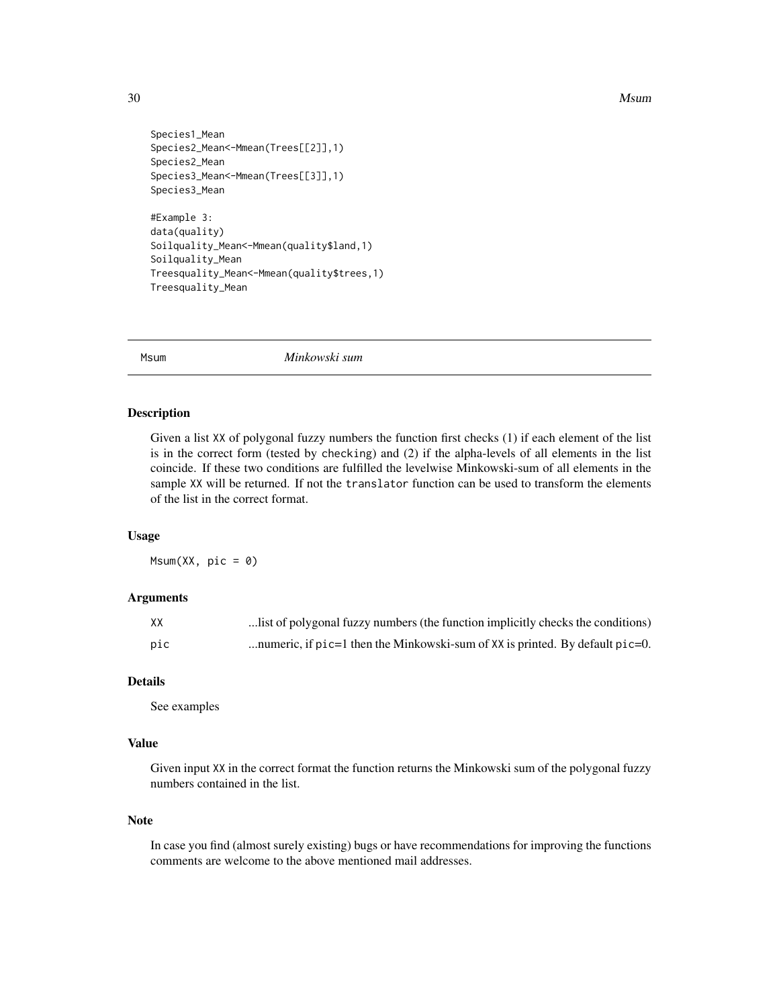```
Species1_Mean
Species2_Mean<-Mmean(Trees[[2]],1)
Species2_Mean
Species3_Mean<-Mmean(Trees[[3]],1)
Species3_Mean
#Example 3:
data(quality)
Soilquality_Mean<-Mmean(quality$land,1)
Soilquality_Mean
Treesquality_Mean<-Mmean(quality$trees,1)
```
<span id="page-29-1"></span>Msum *Minkowski sum*

## Description

Given a list XX of polygonal fuzzy numbers the function first checks (1) if each element of the list is in the correct form (tested by checking) and (2) if the alpha-levels of all elements in the list coincide. If these two conditions are fulfilled the levelwise Minkowski-sum of all elements in the sample XX will be returned. If not the translator function can be used to transform the elements of the list in the correct format.

#### Usage

 $Msum(XX, pic = 0)$ 

Treesquality\_Mean

#### Arguments

| XX  | list of polygonal fuzzy numbers (the function implicitly checks the conditions)    |
|-----|------------------------------------------------------------------------------------|
| pic | numeric, if $p$ ic=1 then the Minkowski-sum of XX is printed. By default $p$ ic=0. |

#### Details

See examples

## Value

Given input XX in the correct format the function returns the Minkowski sum of the polygonal fuzzy numbers contained in the list.

#### Note

In case you find (almost surely existing) bugs or have recommendations for improving the functions comments are welcome to the above mentioned mail addresses.

<span id="page-29-0"></span>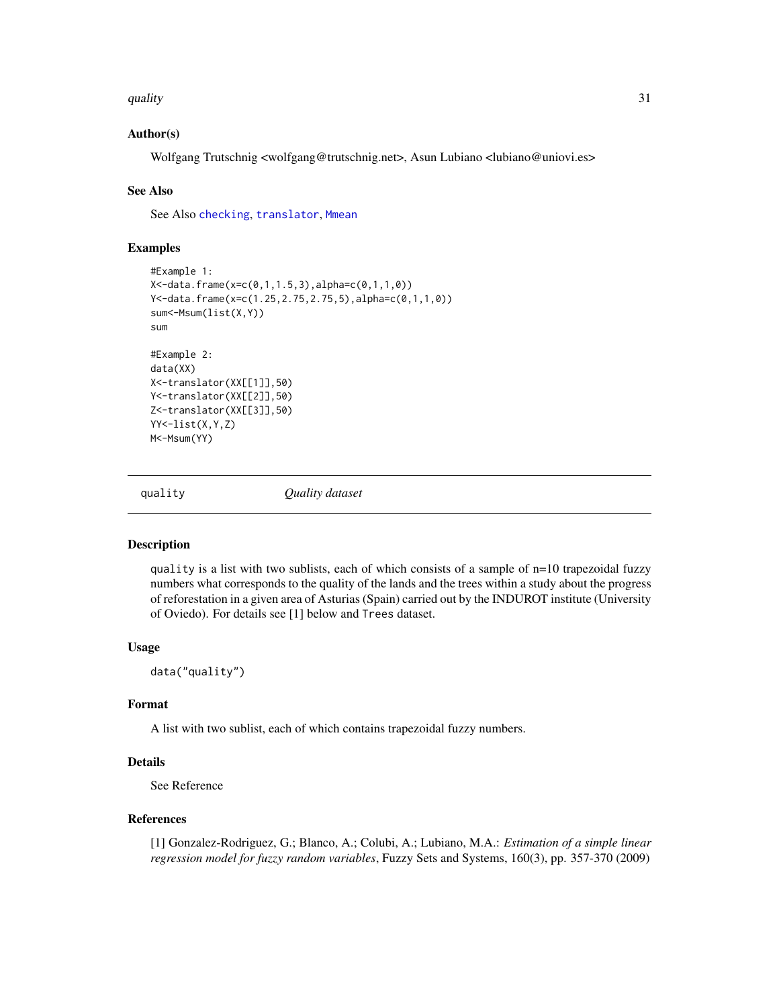<span id="page-30-0"></span>quality 31

## Author(s)

Wolfgang Trutschnig <wolfgang@trutschnig.net>, Asun Lubiano <lubiano@uniovi.es>

#### See Also

See Also [checking](#page-13-1), [translator](#page-32-1), [Mmean](#page-27-1)

#### Examples

```
#Example 1:
X<-data.frame(x=c(0,1,1.5,3),alpha=c(0,1,1,0))
Y<-data.frame(x=c(1.25,2.75,2.75,5),alpha=c(0,1,1,0))
sum<-Msum(list(X,Y))
sum
#Example 2:
data(XX)
X<-translator(XX[[1]],50)
Y<-translator(XX[[2]],50)
Z<-translator(XX[[3]],50)
YY<-list(X,Y,Z)
M<-Msum(YY)
```
quality *Quality dataset*

## **Description**

quality is a list with two sublists, each of which consists of a sample of n=10 trapezoidal fuzzy numbers what corresponds to the quality of the lands and the trees within a study about the progress of reforestation in a given area of Asturias (Spain) carried out by the INDUROT institute (University of Oviedo). For details see [1] below and Trees dataset.

#### Usage

data("quality")

#### Format

A list with two sublist, each of which contains trapezoidal fuzzy numbers.

## Details

See Reference

#### References

[1] Gonzalez-Rodriguez, G.; Blanco, A.; Colubi, A.; Lubiano, M.A.: *Estimation of a simple linear regression model for fuzzy random variables*, Fuzzy Sets and Systems, 160(3), pp. 357-370 (2009)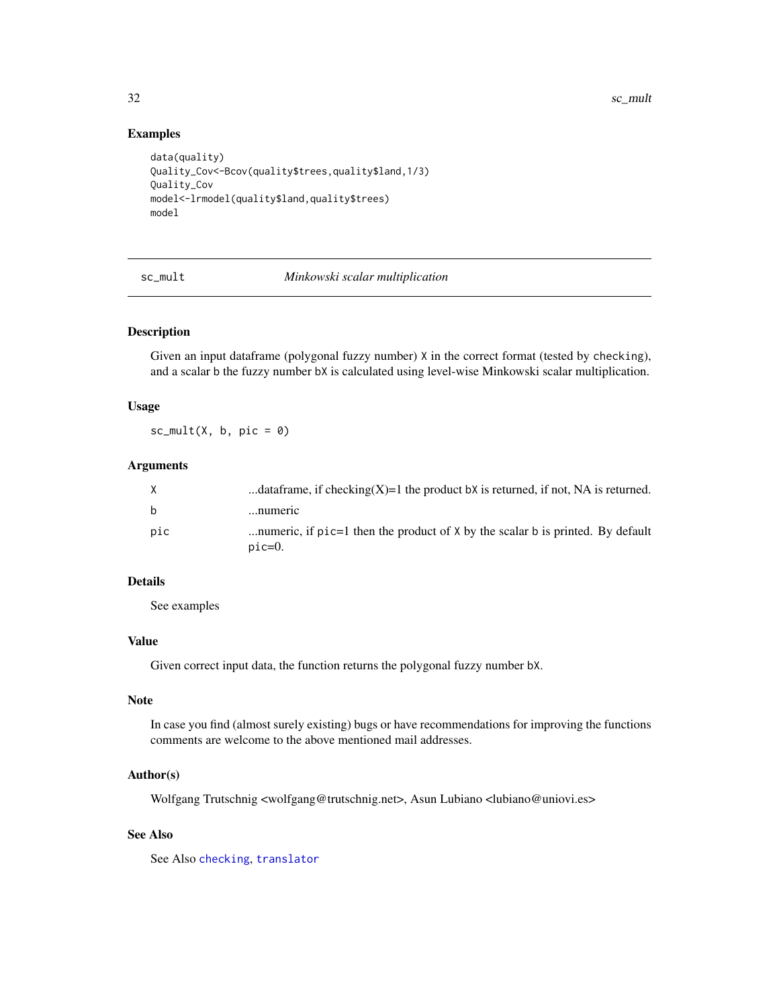<span id="page-31-0"></span>32 sc\_mult

#### Examples

```
data(quality)
Quality_Cov<-Bcov(quality$trees,quality$land,1/3)
Quality_Cov
model<-lrmodel(quality$land,quality$trees)
model
```
<span id="page-31-1"></span>sc\_mult *Minkowski scalar multiplication*

## Description

Given an input dataframe (polygonal fuzzy number) X in the correct format (tested by checking), and a scalar b the fuzzy number bX is calculated using level-wise Minkowski scalar multiplication.

#### Usage

 $sc_mult(X, b, pic = 0)$ 

#### Arguments

| X            | dataframe, if checking $(X)=1$ the product bX is returned, if not, NA is returned.            |
|--------------|-----------------------------------------------------------------------------------------------|
| <sub>b</sub> | numeric                                                                                       |
| pic          | numeric, if $pic=1$ then the product of X by the scalar b is printed. By default<br>$pic=0$ . |

## Details

See examples

#### Value

Given correct input data, the function returns the polygonal fuzzy number bX.

#### Note

In case you find (almost surely existing) bugs or have recommendations for improving the functions comments are welcome to the above mentioned mail addresses.

## Author(s)

Wolfgang Trutschnig <wolfgang@trutschnig.net>, Asun Lubiano <lubiano@uniovi.es>

## See Also

See Also [checking](#page-13-1), [translator](#page-32-1)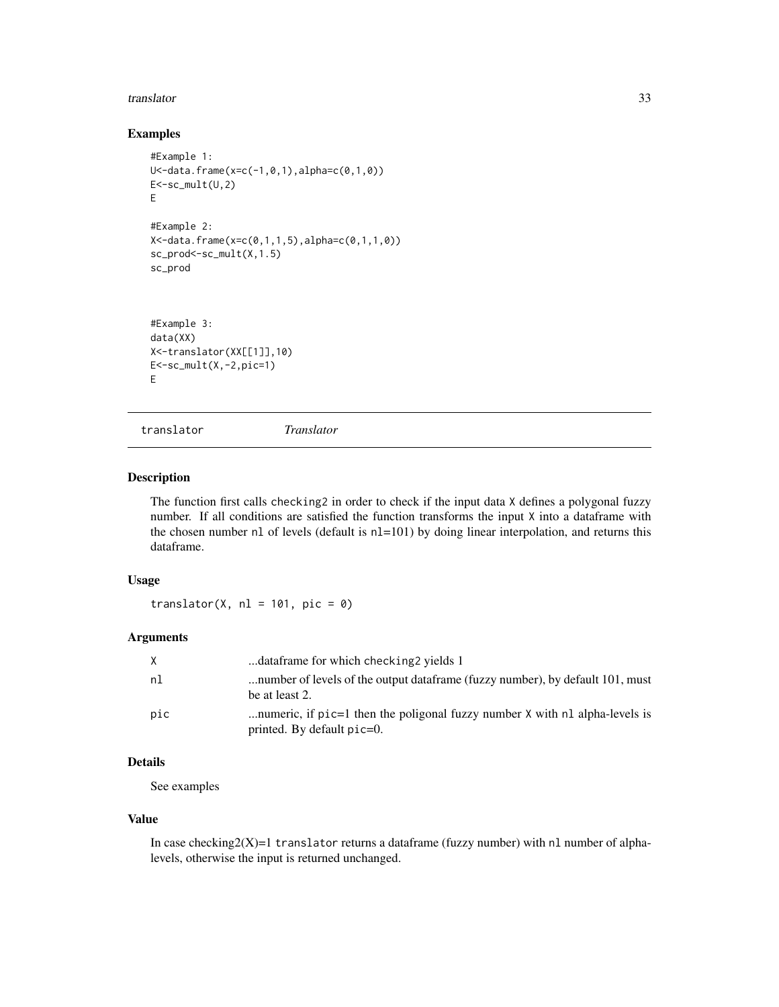#### <span id="page-32-0"></span>translator 33

## Examples

```
#Example 1:
U<-data.frame(x=c(-1,0,1),alpha=c(0,1,0))
E<-sc_mult(U,2)E
#Example 2:
X<-data.frame(x=c(0,1,1,5),alpha=c(0,1,1,0))
sc_prod<-sc_mult(X,1.5)
sc_prod
#Example 3:
```

```
data(XX)
X<-translator(XX[[1]],10)
E < -sc_mult(X, -2, pic=1)E
```
<span id="page-32-1"></span>translator *Translator*

#### Description

The function first calls checking2 in order to check if the input data X defines a polygonal fuzzy number. If all conditions are satisfied the function transforms the input X into a dataframe with the chosen number nl of levels (default is nl=101) by doing linear interpolation, and returns this dataframe.

#### Usage

translator(X,  $nl = 101$ ,  $pic = 0$ )

## Arguments

| X   | dataframe for which checking 2 yields 1                                                                      |
|-----|--------------------------------------------------------------------------------------------------------------|
| nl  | number of levels of the output data frame (fuzzy number), by default 101, must<br>be at least 2.             |
| pic | numeric, if pic=1 then the poligonal fuzzy number X with nl alpha-levels is<br>printed. By default $pic=0$ . |

## Details

See examples

#### Value

In case checking $2(X)=1$  translator returns a dataframe (fuzzy number) with nl number of alphalevels, otherwise the input is returned unchanged.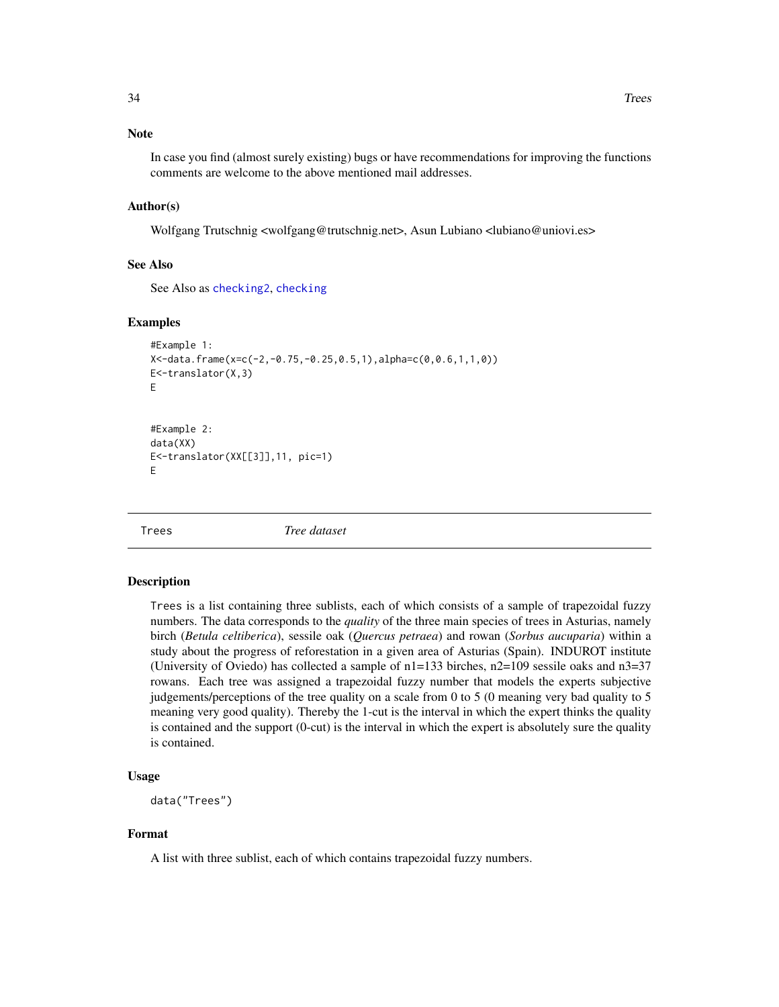<span id="page-33-0"></span>In case you find (almost surely existing) bugs or have recommendations for improving the functions comments are welcome to the above mentioned mail addresses.

#### Author(s)

Wolfgang Trutschnig <wolfgang@trutschnig.net>, Asun Lubiano <lubiano@uniovi.es>

#### See Also

See Also as [checking2](#page-14-1), [checking](#page-13-1)

#### Examples

```
#Example 1:
X<-data.frame(x=c(-2,-0.75,-0.25,0.5,1),alpha=c(0,0.6,1,1,0))
E<-translator(X,3)
E
#Example 2:
```
data(XX) E<-translator(XX[[3]],11, pic=1) E

Trees *Tree dataset*

#### Description

Trees is a list containing three sublists, each of which consists of a sample of trapezoidal fuzzy numbers. The data corresponds to the *quality* of the three main species of trees in Asturias, namely birch (*Betula celtiberica*), sessile oak (*Quercus petraea*) and rowan (*Sorbus aucuparia*) within a study about the progress of reforestation in a given area of Asturias (Spain). INDUROT institute (University of Oviedo) has collected a sample of  $n1=133$  birches,  $n2=109$  sessile oaks and  $n3=37$ rowans. Each tree was assigned a trapezoidal fuzzy number that models the experts subjective judgements/perceptions of the tree quality on a scale from 0 to 5 (0 meaning very bad quality to 5 meaning very good quality). Thereby the 1-cut is the interval in which the expert thinks the quality is contained and the support (0-cut) is the interval in which the expert is absolutely sure the quality is contained.

## Usage

```
data("Trees")
```
## Format

A list with three sublist, each of which contains trapezoidal fuzzy numbers.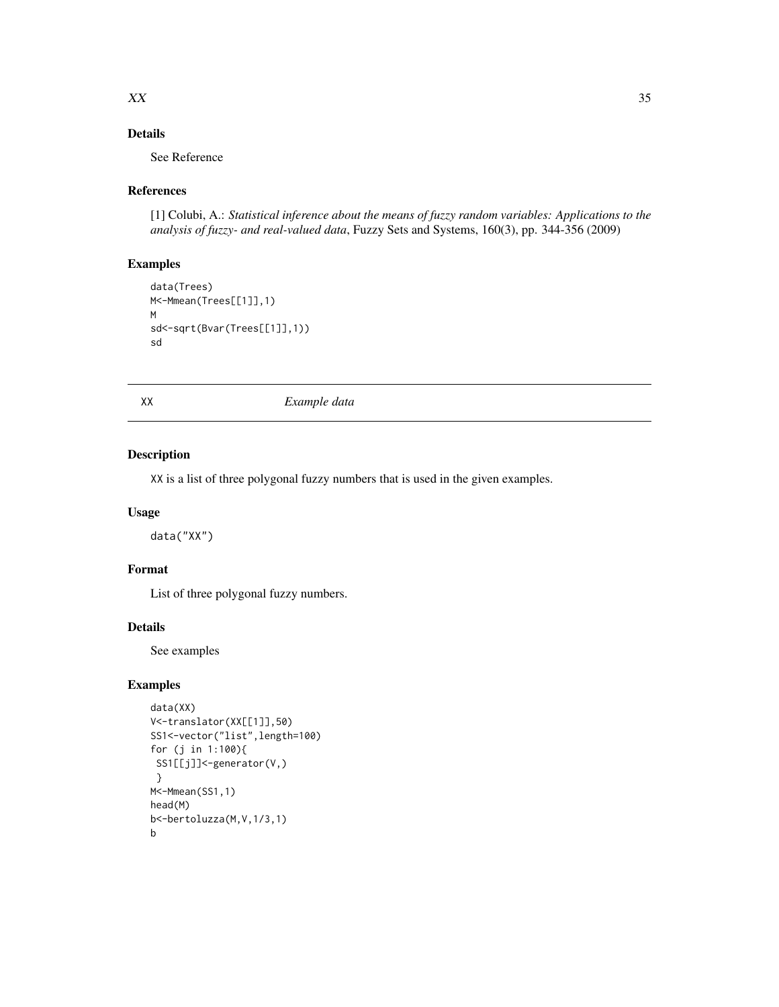### <span id="page-34-0"></span> $XX$  35

## Details

See Reference

## References

[1] Colubi, A.: *Statistical inference about the means of fuzzy random variables: Applications to the analysis of fuzzy- and real-valued data*, Fuzzy Sets and Systems, 160(3), pp. 344-356 (2009)

## Examples

```
data(Trees)
M<-Mmean(Trees[[1]],1)
M
sd<-sqrt(Bvar(Trees[[1]],1))
sd
```
XX *Example data*

## Description

XX is a list of three polygonal fuzzy numbers that is used in the given examples.

#### Usage

data("XX")

## Format

List of three polygonal fuzzy numbers.

## Details

See examples

## Examples

```
data(XX)
V<-translator(XX[[1]],50)
SS1<-vector("list",length=100)
for (j in 1:100){
 SS1[[j]]<-generator(V,)
 }
M<-Mmean(SS1,1)
head(M)
b<-bertoluzza(M,V,1/3,1)
b
```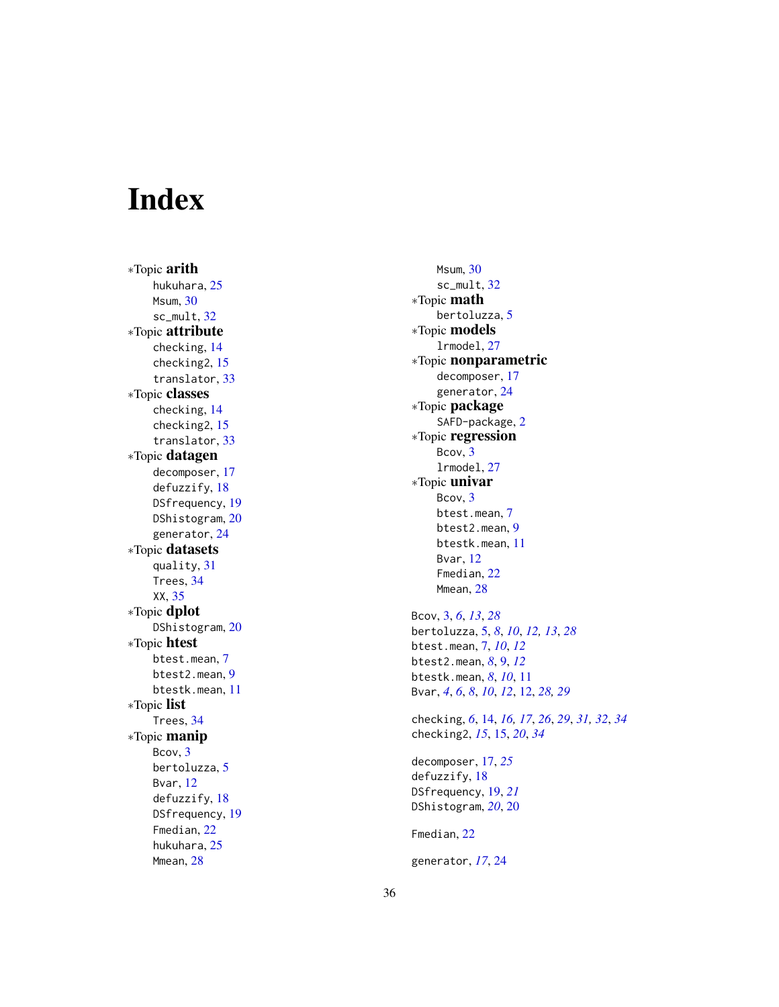# <span id="page-35-0"></span>Index

∗Topic arith hukuhara, [25](#page-24-0) Msum , [30](#page-29-0) sc\_mult , [32](#page-31-0) ∗Topic attribute checking , [14](#page-13-0) checking2 , [15](#page-14-0) translator , [33](#page-32-0) ∗Topic classes checking , [14](#page-13-0) checking2 , [15](#page-14-0) translator , [33](#page-32-0) ∗Topic datagen decomposer , [17](#page-16-0) defuzzify , [18](#page-17-0) DSfrequency, [19](#page-18-0) DShistogram , [20](#page-19-0) generator , [24](#page-23-0) ∗Topic datasets quality , [31](#page-30-0) Trees , [34](#page-33-0) XX , [35](#page-34-0) ∗Topic dplot DShistogram, [20](#page-19-0) ∗Topic htest btest.mean , [7](#page-6-0) btest2.mean , [9](#page-8-0) btestk.mean , [11](#page-10-0) ∗Topic list Trees , [34](#page-33-0) ∗Topic manip Bcov , [3](#page-2-0) bertoluzza, <mark>[5](#page-4-0)</mark> Bvar , [12](#page-11-0) defuzzify , [18](#page-17-0) DSfrequency , [19](#page-18-0) Fmedian , [22](#page-21-0) hukuhara, [25](#page-24-0) Mmean, [28](#page-27-0)

Msum , [30](#page-29-0) sc\_mult , [32](#page-31-0) ∗Topic math bertoluzza, <mark>[5](#page-4-0)</mark> ∗Topic models lrmodel , [27](#page-26-0) ∗Topic nonparametric decomposer , [17](#page-16-0) generator , [24](#page-23-0) ∗Topic package SAFD-package, [2](#page-1-0) ∗Topic regression Bcov, [3](#page-2-0) lrmodel , [27](#page-26-0) ∗Topic univar Bcov, [3](#page-2-0) btest.mean , [7](#page-6-0) btest2.mean , [9](#page-8-0) btestk.mean , [11](#page-10-0) Bvar , [12](#page-11-0) Fmedian, [22](#page-21-0) Mmean, 2<mark>8</mark> Bcov , [3](#page-2-0) , *[6](#page-5-0)* , *[13](#page-12-0)* , *[28](#page-27-0)* bertoluzza , [5](#page-4-0) , *[8](#page-7-0)* , *[10](#page-9-0)* , *[12](#page-11-0) , [13](#page-12-0)* , *[28](#page-27-0)* btest.mean , [7](#page-6-0) , *[10](#page-9-0)* , *[12](#page-11-0)* btest2.mean , *[8](#page-7-0)* , [9](#page-8-0) , *[12](#page-11-0)* btestk.mean , *[8](#page-7-0)* , *[10](#page-9-0)* , [11](#page-10-0) Bvar , *[4](#page-3-0)* , *[6](#page-5-0)* , *[8](#page-7-0)* , *[10](#page-9-0)* , *[12](#page-11-0)* , [12](#page-11-0) , *[28](#page-27-0) , [29](#page-28-0)* checking , *[6](#page-5-0)* , [14](#page-13-0) , *[16,](#page-15-0) [17](#page-16-0)* , *[26](#page-25-0)* , *[29](#page-28-0)* , *[31](#page-30-0) , [32](#page-31-0)* , *[34](#page-33-0)* checking2 , *[15](#page-14-0)* , [15](#page-14-0) , *[20](#page-19-0)* , *[34](#page-33-0)* decomposer , [17](#page-16-0) , *[25](#page-24-0)* defuzzify , [18](#page-17-0) DSfrequency , [19](#page-18-0) , *[21](#page-20-0)* DShistogram , *[20](#page-19-0)* , [20](#page-19-0)

Fmedian, [22](#page-21-0)

generator , *[17](#page-16-0)* , [24](#page-23-0)